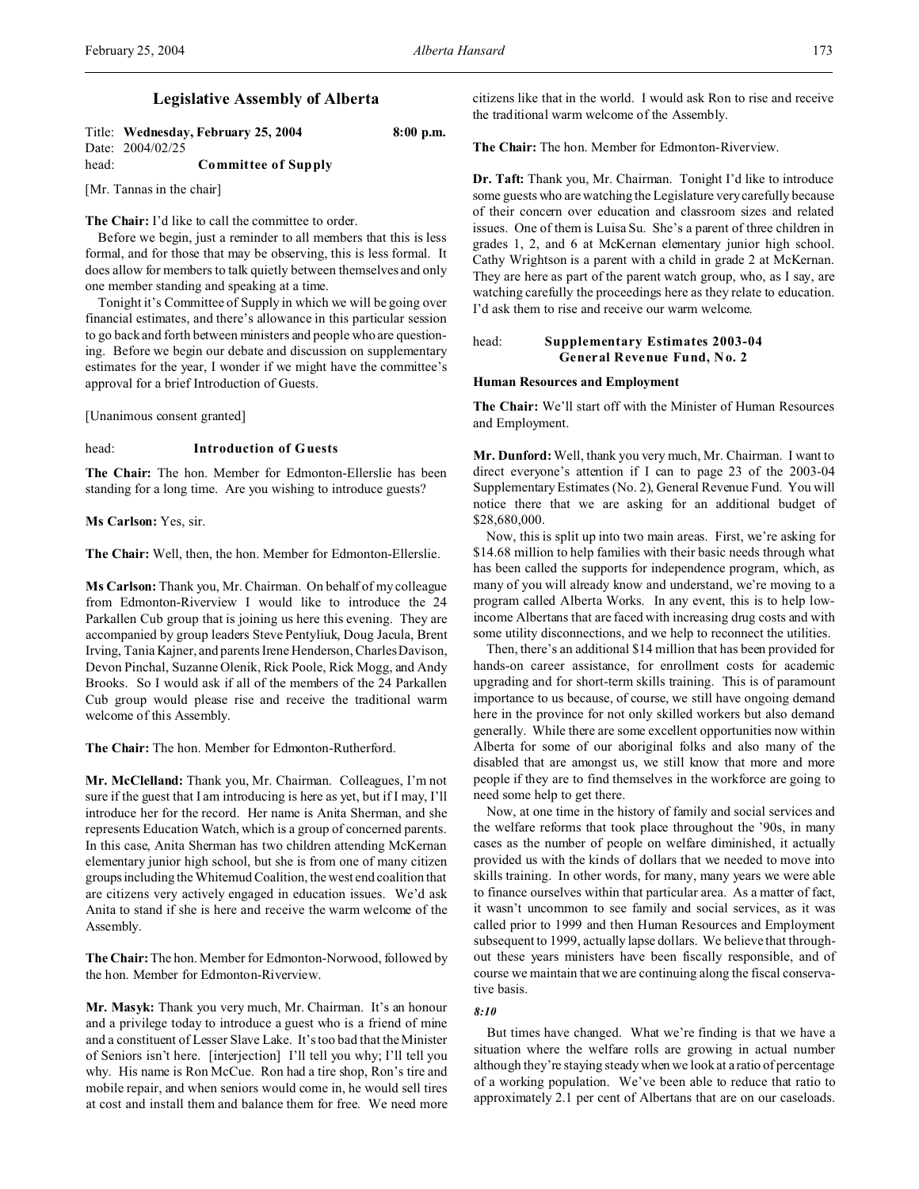# **Legislative Assembly of Alberta**

|       | Title: Wednesday, February 25, 2004 | $8:00$ p.m. |
|-------|-------------------------------------|-------------|
|       | Date: 2004/02/25                    |             |
| head: | <b>Committee of Supply</b>          |             |
|       |                                     |             |

[Mr. Tannas in the chair]

**The Chair:** I'd like to call the committee to order.

Before we begin, just a reminder to all members that this is less formal, and for those that may be observing, this is less formal. It does allow for members to talk quietly between themselves and only one member standing and speaking at a time.

Tonight it's Committee of Supply in which we will be going over financial estimates, and there's allowance in this particular session to go back and forth between ministers and people who are questioning. Before we begin our debate and discussion on supplementary estimates for the year, I wonder if we might have the committee's approval for a brief Introduction of Guests.

[Unanimous consent granted]

### head: **Introduction of Guests**

**The Chair:** The hon. Member for Edmonton-Ellerslie has been standing for a long time. Are you wishing to introduce guests?

**Ms Carlson:** Yes, sir.

**The Chair:** Well, then, the hon. Member for Edmonton-Ellerslie.

**Ms Carlson:** Thank you, Mr. Chairman. On behalf of my colleague from Edmonton-Riverview I would like to introduce the 24 Parkallen Cub group that is joining us here this evening. They are accompanied by group leaders Steve Pentyliuk, Doug Jacula, Brent Irving, Tania Kajner, and parents Irene Henderson, Charles Davison, Devon Pinchal, Suzanne Olenik, Rick Poole, Rick Mogg, and Andy Brooks. So I would ask if all of the members of the 24 Parkallen Cub group would please rise and receive the traditional warm welcome of this Assembly.

**The Chair:** The hon. Member for Edmonton-Rutherford.

**Mr. McClelland:** Thank you, Mr. Chairman. Colleagues, I'm not sure if the guest that I am introducing is here as yet, but if I may, I'll introduce her for the record. Her name is Anita Sherman, and she represents Education Watch, which is a group of concerned parents. In this case, Anita Sherman has two children attending McKernan elementary junior high school, but she is from one of many citizen groupsincluding the Whitemud Coalition, the west end coalition that are citizens very actively engaged in education issues. We'd ask Anita to stand if she is here and receive the warm welcome of the Assembly.

**The Chair:**The hon. Member for Edmonton-Norwood, followed by the hon. Member for Edmonton-Riverview.

**Mr. Masyk:** Thank you very much, Mr. Chairman. It's an honour and a privilege today to introduce a guest who is a friend of mine and a constituent of Lesser Slave Lake. It's too bad that the Minister of Seniors isn't here. [interjection] I'll tell you why; I'll tell you why. His name is Ron McCue. Ron had a tire shop, Ron's tire and mobile repair, and when seniors would come in, he would sell tires at cost and install them and balance them for free. We need more citizens like that in the world. I would ask Ron to rise and receive the traditional warm welcome of the Assembly.

**The Chair:** The hon. Member for Edmonton-Riverview.

**Dr. Taft:** Thank you, Mr. Chairman. Tonight I'd like to introduce some guests who are watching the Legislature very carefully because of their concern over education and classroom sizes and related issues. One of them is Luisa Su. She's a parent of three children in grades 1, 2, and 6 at McKernan elementary junior high school. Cathy Wrightson is a parent with a child in grade 2 at McKernan. They are here as part of the parent watch group, who, as I say, are watching carefully the proceedings here as they relate to education. I'd ask them to rise and receive our warm welcome.

# head: **Supplementary Estimates 2003-04 General Revenue Fund, No. 2**

#### **Human Resources and Employment**

**The Chair:** We'll start off with the Minister of Human Resources and Employment.

**Mr. Dunford:** Well, thank you very much, Mr. Chairman. I want to direct everyone's attention if I can to page 23 of the 2003-04 Supplementary Estimates (No. 2), General Revenue Fund. You will notice there that we are asking for an additional budget of \$28,680,000.

Now, this is split up into two main areas. First, we're asking for \$14.68 million to help families with their basic needs through what has been called the supports for independence program, which, as many of you will already know and understand, we're moving to a program called Alberta Works. In any event, this is to help lowincome Albertans that are faced with increasing drug costs and with some utility disconnections, and we help to reconnect the utilities.

Then, there's an additional \$14 million that has been provided for hands-on career assistance, for enrollment costs for academic upgrading and for short-term skills training. This is of paramount importance to us because, of course, we still have ongoing demand here in the province for not only skilled workers but also demand generally. While there are some excellent opportunities now within Alberta for some of our aboriginal folks and also many of the disabled that are amongst us, we still know that more and more people if they are to find themselves in the workforce are going to need some help to get there.

Now, at one time in the history of family and social services and the welfare reforms that took place throughout the '90s, in many cases as the number of people on welfare diminished, it actually provided us with the kinds of dollars that we needed to move into skills training. In other words, for many, many years we were able to finance ourselves within that particular area. As a matter of fact, it wasn't uncommon to see family and social services, as it was called prior to 1999 and then Human Resources and Employment subsequent to 1999, actually lapse dollars. We believe that throughout these years ministers have been fiscally responsible, and of course we maintain that we are continuing along the fiscal conservative basis.

### *8:10*

But times have changed. What we're finding is that we have a situation where the welfare rolls are growing in actual number although they're staying steady when we look at a ratio of percentage of a working population. We've been able to reduce that ratio to approximately 2.1 per cent of Albertans that are on our caseloads.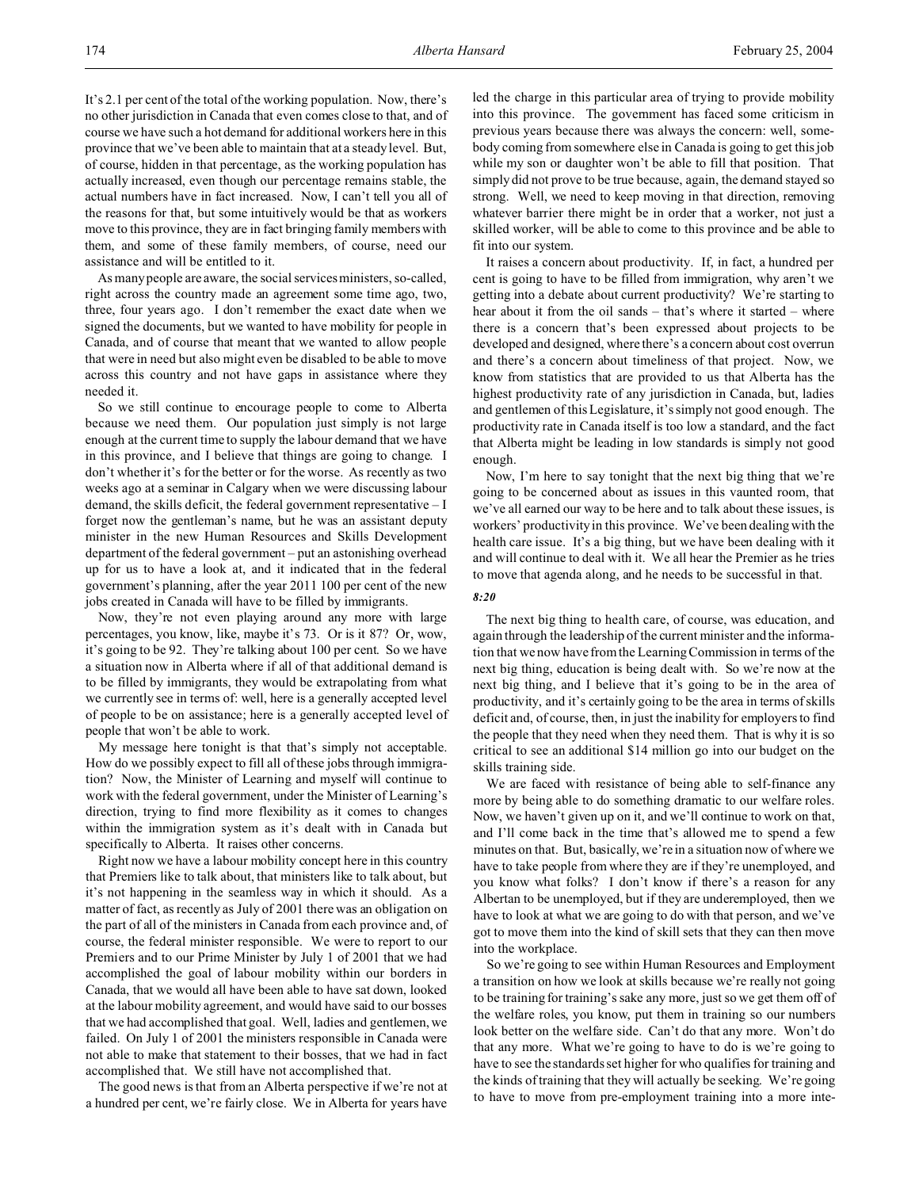It's 2.1 per cent of the total of the working population. Now, there's no other jurisdiction in Canada that even comes close to that, and of course we have such a hot demand for additional workers here in this province that we've been able to maintain that at a steady level. But, of course, hidden in that percentage, as the working population has actually increased, even though our percentage remains stable, the actual numbers have in fact increased. Now, I can't tell you all of the reasons for that, but some intuitively would be that as workers move to this province, they are in fact bringing family members with them, and some of these family members, of course, need our assistance and will be entitled to it.

As many people are aware, the social services ministers, so-called, right across the country made an agreement some time ago, two, three, four years ago. I don't remember the exact date when we signed the documents, but we wanted to have mobility for people in Canada, and of course that meant that we wanted to allow people that were in need but also might even be disabled to be able to move across this country and not have gaps in assistance where they needed it.

So we still continue to encourage people to come to Alberta because we need them. Our population just simply is not large enough at the current time to supply the labour demand that we have in this province, and I believe that things are going to change. I don't whether it's for the better or for the worse. As recently as two weeks ago at a seminar in Calgary when we were discussing labour demand, the skills deficit, the federal government representative – I forget now the gentleman's name, but he was an assistant deputy minister in the new Human Resources and Skills Development department of the federal government – put an astonishing overhead up for us to have a look at, and it indicated that in the federal government's planning, after the year 2011 100 per cent of the new jobs created in Canada will have to be filled by immigrants.

Now, they're not even playing around any more with large percentages, you know, like, maybe it's 73. Or is it 87? Or, wow, it's going to be 92. They're talking about 100 per cent. So we have a situation now in Alberta where if all of that additional demand is to be filled by immigrants, they would be extrapolating from what we currently see in terms of: well, here is a generally accepted level of people to be on assistance; here is a generally accepted level of people that won't be able to work.

My message here tonight is that that's simply not acceptable. How do we possibly expect to fill all of these jobs through immigration? Now, the Minister of Learning and myself will continue to work with the federal government, under the Minister of Learning's direction, trying to find more flexibility as it comes to changes within the immigration system as it's dealt with in Canada but specifically to Alberta. It raises other concerns.

Right now we have a labour mobility concept here in this country that Premiers like to talk about, that ministers like to talk about, but it's not happening in the seamless way in which it should. As a matter of fact, as recently as July of 2001 there was an obligation on the part of all of the ministers in Canada from each province and, of course, the federal minister responsible. We were to report to our Premiers and to our Prime Minister by July 1 of 2001 that we had accomplished the goal of labour mobility within our borders in Canada, that we would all have been able to have sat down, looked at the labour mobility agreement, and would have said to our bosses that we had accomplished that goal. Well, ladies and gentlemen, we failed. On July 1 of 2001 the ministers responsible in Canada were not able to make that statement to their bosses, that we had in fact accomplished that. We still have not accomplished that.

The good news is that from an Alberta perspective if we're not at a hundred per cent, we're fairly close. We in Alberta for years have

led the charge in this particular area of trying to provide mobility into this province. The government has faced some criticism in previous years because there was always the concern: well, somebody coming from somewhere else in Canada is going to get this job while my son or daughter won't be able to fill that position. That simply did not prove to be true because, again, the demand stayed so strong. Well, we need to keep moving in that direction, removing whatever barrier there might be in order that a worker, not just a skilled worker, will be able to come to this province and be able to fit into our system.

It raises a concern about productivity. If, in fact, a hundred per cent is going to have to be filled from immigration, why aren't we getting into a debate about current productivity? We're starting to hear about it from the oil sands – that's where it started – where there is a concern that's been expressed about projects to be developed and designed, where there's a concern about cost overrun and there's a concern about timeliness of that project. Now, we know from statistics that are provided to us that Alberta has the highest productivity rate of any jurisdiction in Canada, but, ladies and gentlemen of this Legislature, it's simply not good enough. The productivity rate in Canada itself is too low a standard, and the fact that Alberta might be leading in low standards is simply not good enough.

Now, I'm here to say tonight that the next big thing that we're going to be concerned about as issues in this vaunted room, that we've all earned our way to be here and to talk about these issues, is workers' productivity in this province. We've been dealing with the health care issue. It's a big thing, but we have been dealing with it and will continue to deal with it. We all hear the Premier as he tries to move that agenda along, and he needs to be successful in that.

#### *8:20*

The next big thing to health care, of course, was education, and again through the leadership of the current minister and the information that we now have from the Learning Commission in terms of the next big thing, education is being dealt with. So we're now at the next big thing, and I believe that it's going to be in the area of productivity, and it's certainly going to be the area in terms of skills deficit and, of course, then, in just the inability for employers to find the people that they need when they need them. That is why it is so critical to see an additional \$14 million go into our budget on the skills training side.

We are faced with resistance of being able to self-finance any more by being able to do something dramatic to our welfare roles. Now, we haven't given up on it, and we'll continue to work on that, and I'll come back in the time that's allowed me to spend a few minutes on that. But, basically, we're in a situation now of where we have to take people from where they are if they're unemployed, and you know what folks? I don't know if there's a reason for any Albertan to be unemployed, but if they are underemployed, then we have to look at what we are going to do with that person, and we've got to move them into the kind of skill sets that they can then move into the workplace.

So we're going to see within Human Resources and Employment a transition on how we look at skills because we're really not going to be training for training's sake any more, just so we get them off of the welfare roles, you know, put them in training so our numbers look better on the welfare side. Can't do that any more. Won't do that any more. What we're going to have to do is we're going to have to see the standards set higher for who qualifies for training and the kinds of training that they will actually be seeking. We're going to have to move from pre-employment training into a more inte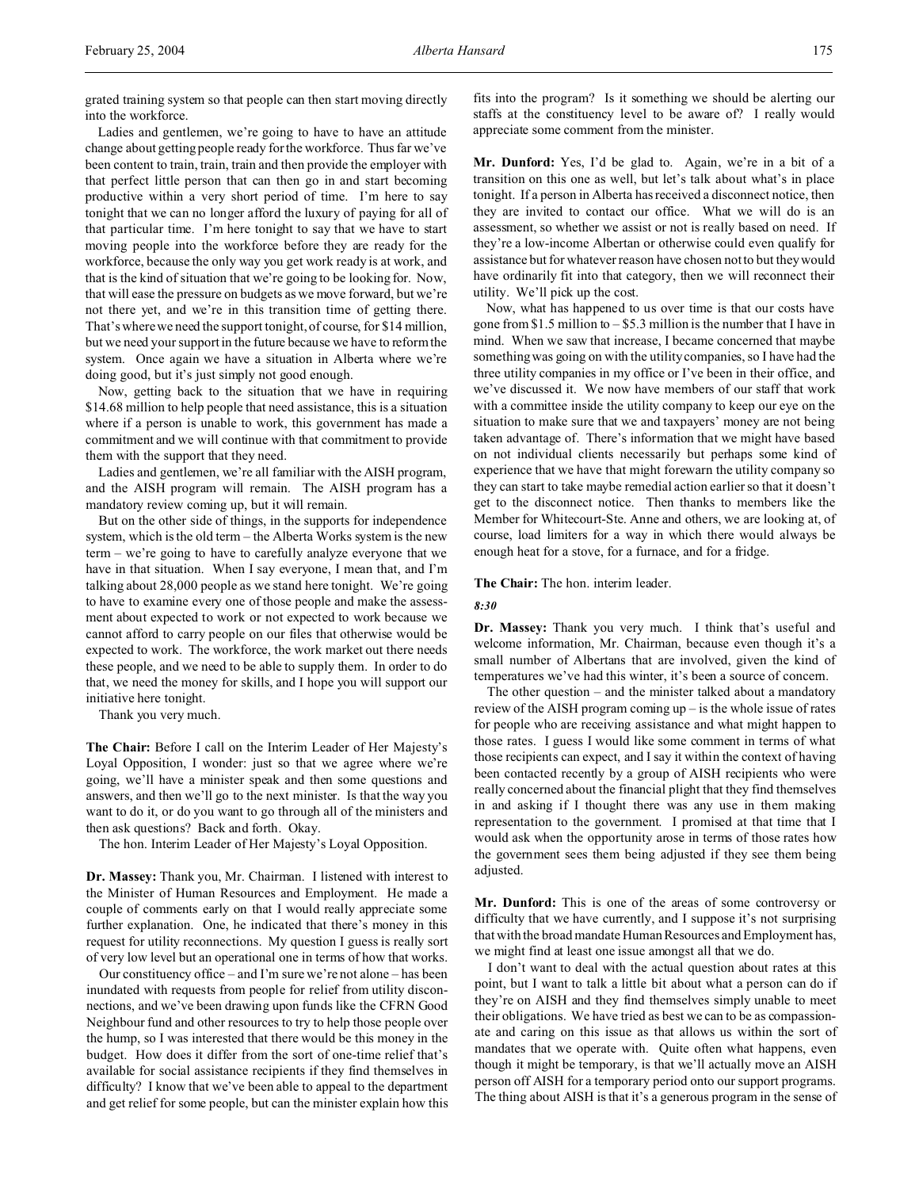grated training system so that people can then start moving directly into the workforce.

Ladies and gentlemen, we're going to have to have an attitude change about getting people ready for the workforce. Thus far we've been content to train, train, train and then provide the employer with that perfect little person that can then go in and start becoming productive within a very short period of time. I'm here to say tonight that we can no longer afford the luxury of paying for all of that particular time. I'm here tonight to say that we have to start moving people into the workforce before they are ready for the workforce, because the only way you get work ready is at work, and that is the kind of situation that we're going to be looking for. Now, that will ease the pressure on budgets as we move forward, but we're not there yet, and we're in this transition time of getting there. That's where we need the support tonight, of course, for \$14 million, but we need your support in the future because we have to reform the system. Once again we have a situation in Alberta where we're doing good, but it's just simply not good enough.

Now, getting back to the situation that we have in requiring \$14.68 million to help people that need assistance, this is a situation where if a person is unable to work, this government has made a commitment and we will continue with that commitment to provide them with the support that they need.

Ladies and gentlemen, we're all familiar with the AISH program, and the AISH program will remain. The AISH program has a mandatory review coming up, but it will remain.

But on the other side of things, in the supports for independence system, which is the old term – the Alberta Works system is the new term – we're going to have to carefully analyze everyone that we have in that situation. When I say everyone, I mean that, and I'm talking about 28,000 people as we stand here tonight. We're going to have to examine every one of those people and make the assessment about expected to work or not expected to work because we cannot afford to carry people on our files that otherwise would be expected to work. The workforce, the work market out there needs these people, and we need to be able to supply them. In order to do that, we need the money for skills, and I hope you will support our initiative here tonight.

Thank you very much.

**The Chair:** Before I call on the Interim Leader of Her Majesty's Loyal Opposition, I wonder: just so that we agree where we're going, we'll have a minister speak and then some questions and answers, and then we'll go to the next minister. Is that the way you want to do it, or do you want to go through all of the ministers and then ask questions? Back and forth. Okay.

The hon. Interim Leader of Her Majesty's Loyal Opposition.

**Dr. Massey:** Thank you, Mr. Chairman. I listened with interest to the Minister of Human Resources and Employment. He made a couple of comments early on that I would really appreciate some further explanation. One, he indicated that there's money in this request for utility reconnections. My question I guess is really sort of very low level but an operational one in terms of how that works.

Our constituency office – and I'm sure we're not alone – has been inundated with requests from people for relief from utility disconnections, and we've been drawing upon funds like the CFRN Good Neighbour fund and other resources to try to help those people over the hump, so I was interested that there would be this money in the budget. How does it differ from the sort of one-time relief that's available for social assistance recipients if they find themselves in difficulty? I know that we've been able to appeal to the department and get relief for some people, but can the minister explain how this

fits into the program? Is it something we should be alerting our staffs at the constituency level to be aware of? I really would appreciate some comment from the minister.

**Mr. Dunford:** Yes, I'd be glad to. Again, we're in a bit of a transition on this one as well, but let's talk about what's in place tonight. If a person in Alberta has received a disconnect notice, then they are invited to contact our office. What we will do is an assessment, so whether we assist or not is really based on need. If they're a low-income Albertan or otherwise could even qualify for assistance but for whatever reason have chosen not to but they would have ordinarily fit into that category, then we will reconnect their utility. We'll pick up the cost.

Now, what has happened to us over time is that our costs have gone from \$1.5 million to  $-$  \$5.3 million is the number that I have in mind. When we saw that increase, I became concerned that maybe something was going on with the utility companies, so I have had the three utility companies in my office or I've been in their office, and we've discussed it. We now have members of our staff that work with a committee inside the utility company to keep our eye on the situation to make sure that we and taxpayers' money are not being taken advantage of. There's information that we might have based on not individual clients necessarily but perhaps some kind of experience that we have that might forewarn the utility company so they can start to take maybe remedial action earlier so that it doesn't get to the disconnect notice. Then thanks to members like the Member for Whitecourt-Ste. Anne and others, we are looking at, of course, load limiters for a way in which there would always be enough heat for a stove, for a furnace, and for a fridge.

**The Chair:** The hon. interim leader.

### *8:30*

**Dr. Massey:** Thank you very much. I think that's useful and welcome information, Mr. Chairman, because even though it's a small number of Albertans that are involved, given the kind of temperatures we've had this winter, it's been a source of concern.

The other question – and the minister talked about a mandatory review of the AISH program coming up – is the whole issue of rates for people who are receiving assistance and what might happen to those rates. I guess I would like some comment in terms of what those recipients can expect, and I say it within the context of having been contacted recently by a group of AISH recipients who were really concerned about the financial plight that they find themselves in and asking if I thought there was any use in them making representation to the government. I promised at that time that I would ask when the opportunity arose in terms of those rates how the government sees them being adjusted if they see them being adjusted.

**Mr. Dunford:** This is one of the areas of some controversy or difficulty that we have currently, and I suppose it's not surprising that with the broad mandate Human Resources and Employment has, we might find at least one issue amongst all that we do.

I don't want to deal with the actual question about rates at this point, but I want to talk a little bit about what a person can do if they're on AISH and they find themselves simply unable to meet their obligations. We have tried as best we can to be as compassionate and caring on this issue as that allows us within the sort of mandates that we operate with. Quite often what happens, even though it might be temporary, is that we'll actually move an AISH person off AISH for a temporary period onto our support programs. The thing about AISH is that it's a generous program in the sense of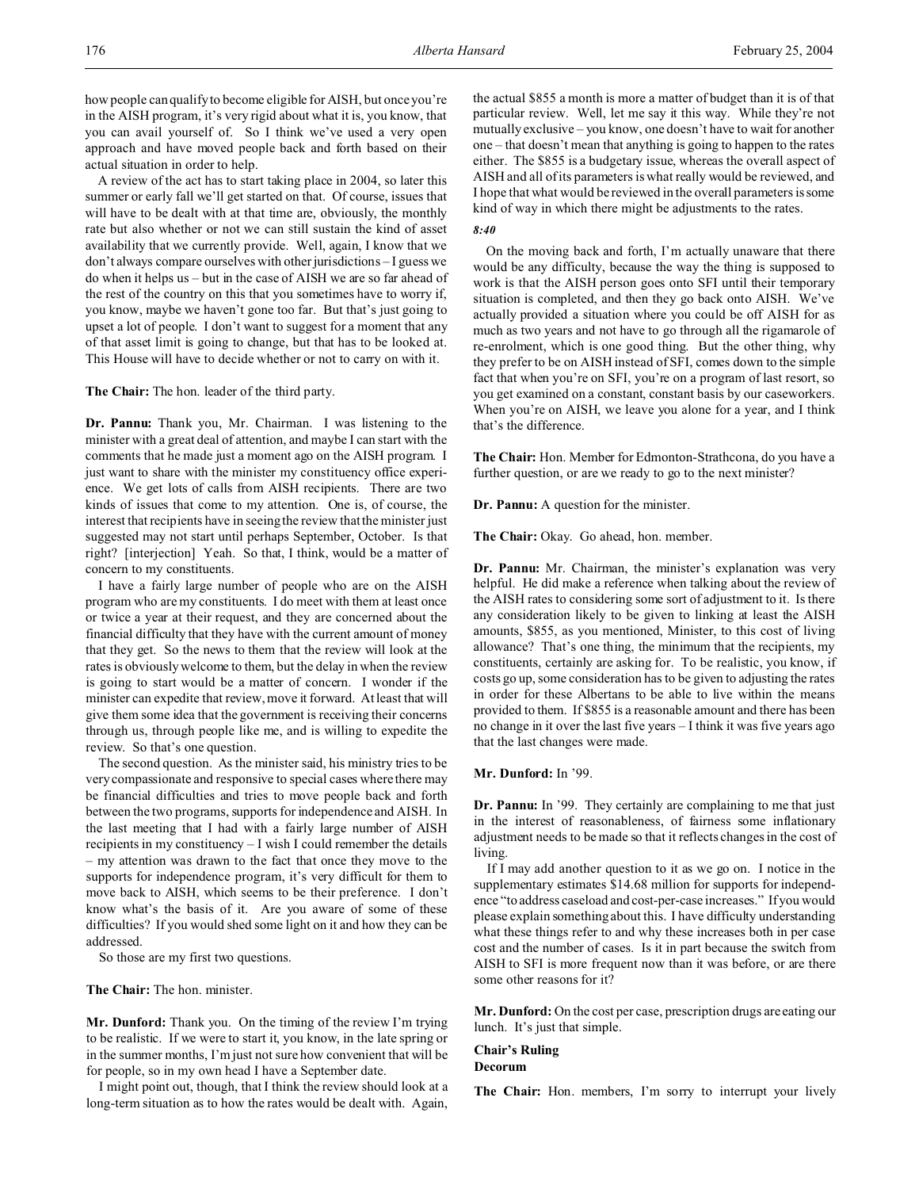how people can qualify to become eligible for AISH, but once you're in the AISH program, it's very rigid about what it is, you know, that you can avail yourself of. So I think we've used a very open approach and have moved people back and forth based on their actual situation in order to help.

A review of the act has to start taking place in 2004, so later this summer or early fall we'll get started on that. Of course, issues that will have to be dealt with at that time are, obviously, the monthly rate but also whether or not we can still sustain the kind of asset availability that we currently provide. Well, again, I know that we don't always compare ourselves with other jurisdictions – I guess we do when it helps us – but in the case of AISH we are so far ahead of the rest of the country on this that you sometimes have to worry if, you know, maybe we haven't gone too far. But that's just going to upset a lot of people. I don't want to suggest for a moment that any of that asset limit is going to change, but that has to be looked at. This House will have to decide whether or not to carry on with it.

**The Chair:** The hon. leader of the third party.

**Dr. Pannu:** Thank you, Mr. Chairman. I was listening to the minister with a great deal of attention, and maybe I can start with the comments that he made just a moment ago on the AISH program. I just want to share with the minister my constituency office experience. We get lots of calls from AISH recipients. There are two kinds of issues that come to my attention. One is, of course, the interest that recipients have in seeing the review that the minister just suggested may not start until perhaps September, October. Is that right? [interjection] Yeah. So that, I think, would be a matter of concern to my constituents.

I have a fairly large number of people who are on the AISH program who are my constituents. I do meet with them at least once or twice a year at their request, and they are concerned about the financial difficulty that they have with the current amount of money that they get. So the news to them that the review will look at the rates is obviously welcome to them, but the delay in when the review is going to start would be a matter of concern. I wonder if the minister can expedite that review, move it forward. At least that will give them some idea that the government is receiving their concerns through us, through people like me, and is willing to expedite the review. So that's one question.

The second question. As the minister said, his ministry tries to be very compassionate and responsive to special cases where there may be financial difficulties and tries to move people back and forth between the two programs, supports for independence and AISH. In the last meeting that I had with a fairly large number of AISH recipients in my constituency – I wish I could remember the details – my attention was drawn to the fact that once they move to the supports for independence program, it's very difficult for them to move back to AISH, which seems to be their preference. I don't know what's the basis of it. Are you aware of some of these difficulties? If you would shed some light on it and how they can be addressed.

So those are my first two questions.

**The Chair:** The hon. minister.

**Mr. Dunford:** Thank you. On the timing of the review I'm trying to be realistic. If we were to start it, you know, in the late spring or in the summer months, I'm just not sure how convenient that will be for people, so in my own head I have a September date.

I might point out, though, that I think the review should look at a long-term situation as to how the rates would be dealt with. Again,

the actual \$855 a month is more a matter of budget than it is of that particular review. Well, let me say it this way. While they're not mutually exclusive – you know, one doesn't have to wait for another one – that doesn't mean that anything is going to happen to the rates either. The \$855 is a budgetary issue, whereas the overall aspect of AISH and all of its parameters is what really would be reviewed, and I hope that what would be reviewed in the overall parameters is some kind of way in which there might be adjustments to the rates.

## *8:40*

On the moving back and forth, I'm actually unaware that there would be any difficulty, because the way the thing is supposed to work is that the AISH person goes onto SFI until their temporary situation is completed, and then they go back onto AISH. We've actually provided a situation where you could be off AISH for as much as two years and not have to go through all the rigamarole of re-enrolment, which is one good thing. But the other thing, why they prefer to be on AISH instead of SFI, comes down to the simple fact that when you're on SFI, you're on a program of last resort, so you get examined on a constant, constant basis by our caseworkers. When you're on AISH, we leave you alone for a year, and I think that's the difference.

**The Chair:** Hon. Member for Edmonton-Strathcona, do you have a further question, or are we ready to go to the next minister?

**Dr. Pannu:** A question for the minister.

The Chair: Okay. Go ahead, hon. member.

**Dr. Pannu:** Mr. Chairman, the minister's explanation was very helpful. He did make a reference when talking about the review of the AISH rates to considering some sort of adjustment to it. Is there any consideration likely to be given to linking at least the AISH amounts, \$855, as you mentioned, Minister, to this cost of living allowance? That's one thing, the minimum that the recipients, my constituents, certainly are asking for. To be realistic, you know, if costs go up, some consideration has to be given to adjusting the rates in order for these Albertans to be able to live within the means provided to them. If \$855 is a reasonable amount and there has been no change in it over the last five years – I think it was five years ago that the last changes were made.

### **Mr. Dunford:** In '99.

**Dr. Pannu:** In '99. They certainly are complaining to me that just in the interest of reasonableness, of fairness some inflationary adjustment needs to be made so that it reflects changes in the cost of living.

If I may add another question to it as we go on. I notice in the supplementary estimates \$14.68 million for supports for independence "to address caseload and cost-per-case increases." If you would please explain something about this. I have difficulty understanding what these things refer to and why these increases both in per case cost and the number of cases. Is it in part because the switch from AISH to SFI is more frequent now than it was before, or are there some other reasons for it?

**Mr. Dunford:** On the cost per case, prescription drugs are eating our lunch. It's just that simple.

# **Chair's Ruling**

# **Decorum**

**The Chair:** Hon. members, I'm sorry to interrupt your lively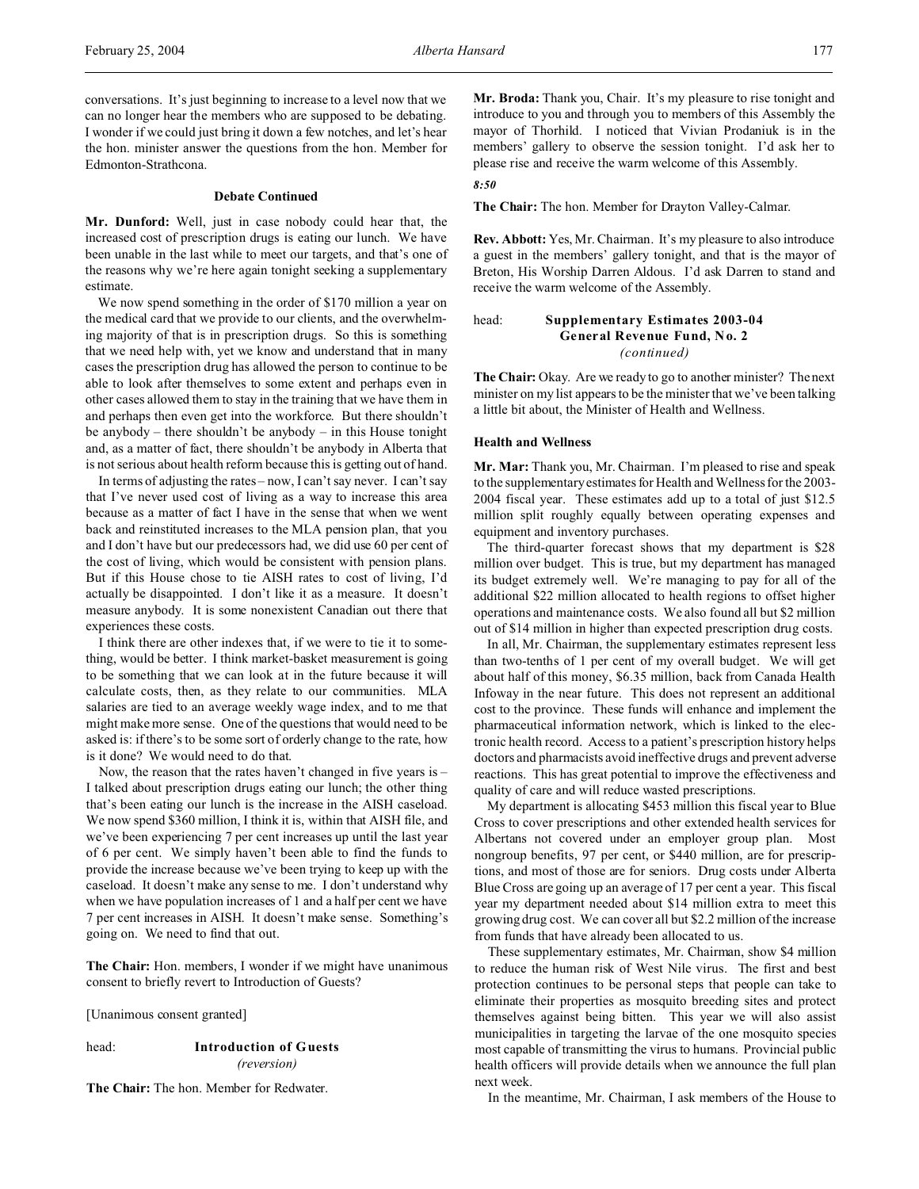conversations. It's just beginning to increase to a level now that we can no longer hear the members who are supposed to be debating. I wonder if we could just bring it down a few notches, and let's hear the hon. minister answer the questions from the hon. Member for Edmonton-Strathcona.

### **Debate Continued**

**Mr. Dunford:** Well, just in case nobody could hear that, the increased cost of prescription drugs is eating our lunch. We have been unable in the last while to meet our targets, and that's one of the reasons why we're here again tonight seeking a supplementary estimate.

We now spend something in the order of \$170 million a year on the medical card that we provide to our clients, and the overwhelming majority of that is in prescription drugs. So this is something that we need help with, yet we know and understand that in many cases the prescription drug has allowed the person to continue to be able to look after themselves to some extent and perhaps even in other cases allowed them to stay in the training that we have them in and perhaps then even get into the workforce. But there shouldn't be anybody – there shouldn't be anybody – in this House tonight and, as a matter of fact, there shouldn't be anybody in Alberta that is not serious about health reform because this is getting out of hand.

In terms of adjusting the rates – now, I can't say never. I can't say that I've never used cost of living as a way to increase this area because as a matter of fact I have in the sense that when we went back and reinstituted increases to the MLA pension plan, that you and I don't have but our predecessors had, we did use 60 per cent of the cost of living, which would be consistent with pension plans. But if this House chose to tie AISH rates to cost of living, I'd actually be disappointed. I don't like it as a measure. It doesn't measure anybody. It is some nonexistent Canadian out there that experiences these costs.

I think there are other indexes that, if we were to tie it to something, would be better. I think market-basket measurement is going to be something that we can look at in the future because it will calculate costs, then, as they relate to our communities. MLA salaries are tied to an average weekly wage index, and to me that might make more sense. One of the questions that would need to be asked is: if there's to be some sort of orderly change to the rate, how is it done? We would need to do that.

Now, the reason that the rates haven't changed in five years is – I talked about prescription drugs eating our lunch; the other thing that's been eating our lunch is the increase in the AISH caseload. We now spend \$360 million, I think it is, within that AISH file, and we've been experiencing 7 per cent increases up until the last year of 6 per cent. We simply haven't been able to find the funds to provide the increase because we've been trying to keep up with the caseload. It doesn't make any sense to me. I don't understand why when we have population increases of 1 and a half per cent we have 7 per cent increases in AISH. It doesn't make sense. Something's going on. We need to find that out.

**The Chair:** Hon. members, I wonder if we might have unanimous consent to briefly revert to Introduction of Guests?

[Unanimous consent granted]

### head: **Introduction of Guests** *(reversion)*

**The Chair:** The hon. Member for Redwater.

**Mr. Broda:** Thank you, Chair. It's my pleasure to rise tonight and introduce to you and through you to members of this Assembly the mayor of Thorhild. I noticed that Vivian Prodaniuk is in the members' gallery to observe the session tonight. I'd ask her to please rise and receive the warm welcome of this Assembly.

*8:50*

**The Chair:** The hon. Member for Drayton Valley-Calmar.

**Rev. Abbott:** Yes, Mr. Chairman. It's my pleasure to also introduce a guest in the members' gallery tonight, and that is the mayor of Breton, His Worship Darren Aldous. I'd ask Darren to stand and receive the warm welcome of the Assembly.

# head: **Supplementary Estimates 2003-04 General Revenue Fund, No. 2** *(continued)*

**The Chair:** Okay. Are we ready to go to another minister? The next minister on my list appears to be the minister that we've been talking a little bit about, the Minister of Health and Wellness.

## **Health and Wellness**

**Mr. Mar:** Thank you, Mr. Chairman. I'm pleased to rise and speak to the supplementary estimates for Health and Wellness for the 2003- 2004 fiscal year. These estimates add up to a total of just \$12.5 million split roughly equally between operating expenses and equipment and inventory purchases.

The third-quarter forecast shows that my department is \$28 million over budget. This is true, but my department has managed its budget extremely well. We're managing to pay for all of the additional \$22 million allocated to health regions to offset higher operations and maintenance costs. We also found all but \$2 million out of \$14 million in higher than expected prescription drug costs.

In all, Mr. Chairman, the supplementary estimates represent less than two-tenths of 1 per cent of my overall budget. We will get about half of this money, \$6.35 million, back from Canada Health Infoway in the near future. This does not represent an additional cost to the province. These funds will enhance and implement the pharmaceutical information network, which is linked to the electronic health record. Access to a patient's prescription history helps doctors and pharmacists avoid ineffective drugs and prevent adverse reactions. This has great potential to improve the effectiveness and quality of care and will reduce wasted prescriptions.

My department is allocating \$453 million this fiscal year to Blue Cross to cover prescriptions and other extended health services for Albertans not covered under an employer group plan. Most nongroup benefits, 97 per cent, or \$440 million, are for prescriptions, and most of those are for seniors. Drug costs under Alberta Blue Cross are going up an average of 17 per cent a year. This fiscal year my department needed about \$14 million extra to meet this growing drug cost. We can cover all but \$2.2 million of the increase from funds that have already been allocated to us.

These supplementary estimates, Mr. Chairman, show \$4 million to reduce the human risk of West Nile virus. The first and best protection continues to be personal steps that people can take to eliminate their properties as mosquito breeding sites and protect themselves against being bitten. This year we will also assist municipalities in targeting the larvae of the one mosquito species most capable of transmitting the virus to humans. Provincial public health officers will provide details when we announce the full plan next week.

In the meantime, Mr. Chairman, I ask members of the House to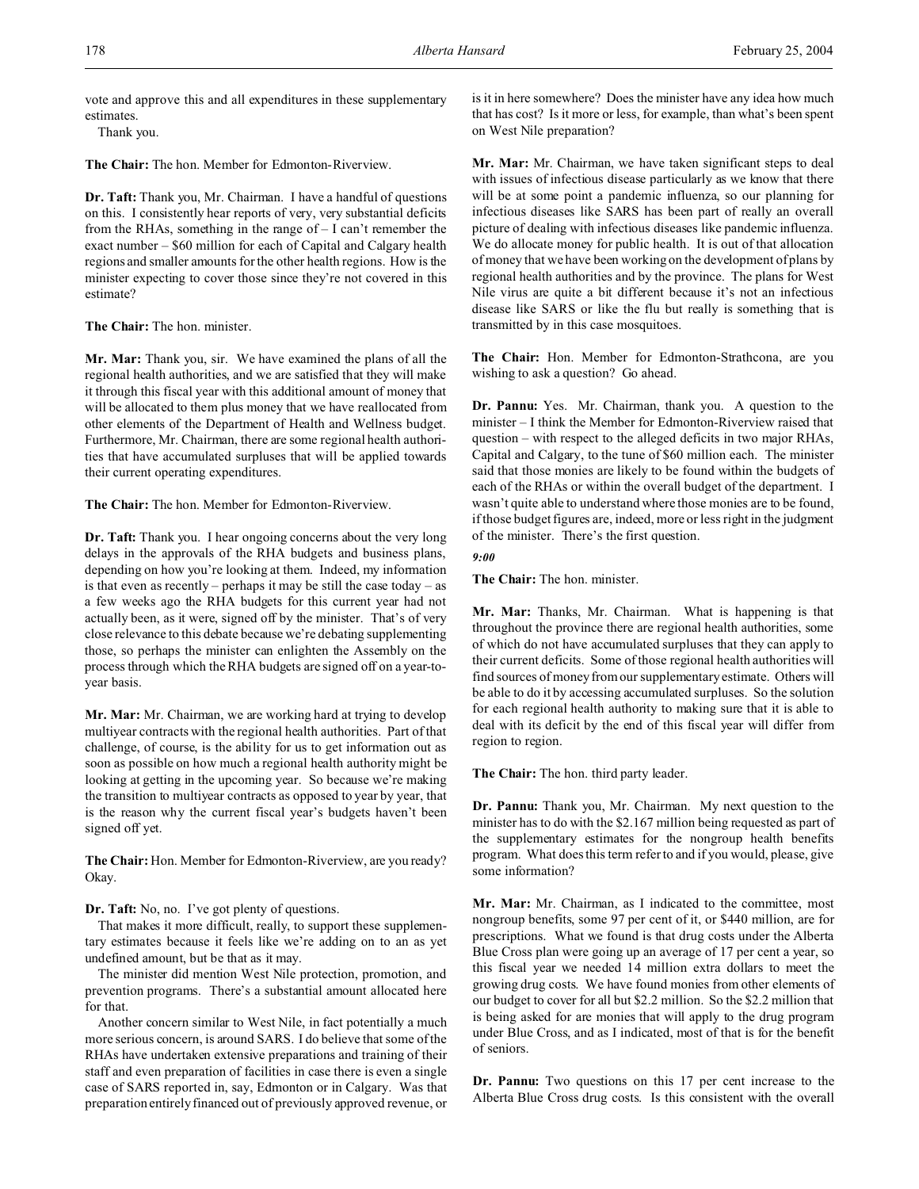vote and approve this and all expenditures in these supplementary estimates.

Thank you.

**The Chair:** The hon. Member for Edmonton-Riverview.

**Dr. Taft:** Thank you, Mr. Chairman. I have a handful of questions on this. I consistently hear reports of very, very substantial deficits from the RHAs, something in the range of – I can't remember the exact number – \$60 million for each of Capital and Calgary health regions and smaller amounts for the other health regions. How is the minister expecting to cover those since they're not covered in this estimate?

**The Chair:** The hon. minister.

**Mr. Mar:** Thank you, sir. We have examined the plans of all the regional health authorities, and we are satisfied that they will make it through this fiscal year with this additional amount of money that will be allocated to them plus money that we have reallocated from other elements of the Department of Health and Wellness budget. Furthermore, Mr. Chairman, there are some regional health authorities that have accumulated surpluses that will be applied towards their current operating expenditures.

**The Chair:** The hon. Member for Edmonton-Riverview.

**Dr. Taft:** Thank you. I hear ongoing concerns about the very long delays in the approvals of the RHA budgets and business plans, depending on how you're looking at them. Indeed, my information is that even as recently – perhaps it may be still the case today – as a few weeks ago the RHA budgets for this current year had not actually been, as it were, signed off by the minister. That's of very close relevance to this debate because we're debating supplementing those, so perhaps the minister can enlighten the Assembly on the process through which the RHA budgets are signed off on a year-toyear basis.

**Mr. Mar:** Mr. Chairman, we are working hard at trying to develop multiyear contracts with the regional health authorities. Part of that challenge, of course, is the ability for us to get information out as soon as possible on how much a regional health authority might be looking at getting in the upcoming year. So because we're making the transition to multiyear contracts as opposed to year by year, that is the reason why the current fiscal year's budgets haven't been signed off yet.

**The Chair:** Hon. Member for Edmonton-Riverview, are you ready? Okay.

**Dr. Taft:** No, no. I've got plenty of questions.

That makes it more difficult, really, to support these supplementary estimates because it feels like we're adding on to an as yet undefined amount, but be that as it may.

The minister did mention West Nile protection, promotion, and prevention programs. There's a substantial amount allocated here for that.

Another concern similar to West Nile, in fact potentially a much more serious concern, is around SARS. I do believe that some of the RHAs have undertaken extensive preparations and training of their staff and even preparation of facilities in case there is even a single case of SARS reported in, say, Edmonton or in Calgary. Was that preparation entirely financed out of previously approved revenue, or

is it in here somewhere? Does the minister have any idea how much that has cost? Is it more or less, for example, than what's been spent on West Nile preparation?

**Mr. Mar:** Mr. Chairman, we have taken significant steps to deal with issues of infectious disease particularly as we know that there will be at some point a pandemic influenza, so our planning for infectious diseases like SARS has been part of really an overall picture of dealing with infectious diseases like pandemic influenza. We do allocate money for public health. It is out of that allocation of money that we have been working on the development of plans by regional health authorities and by the province. The plans for West Nile virus are quite a bit different because it's not an infectious disease like SARS or like the flu but really is something that is transmitted by in this case mosquitoes.

**The Chair:** Hon. Member for Edmonton-Strathcona, are you wishing to ask a question? Go ahead.

**Dr. Pannu:** Yes. Mr. Chairman, thank you. A question to the minister – I think the Member for Edmonton-Riverview raised that question – with respect to the alleged deficits in two major RHAs, Capital and Calgary, to the tune of \$60 million each. The minister said that those monies are likely to be found within the budgets of each of the RHAs or within the overall budget of the department. I wasn't quite able to understand where those monies are to be found, if those budget figures are, indeed, more or less right in the judgment of the minister. There's the first question.

*9:00*

**The Chair:** The hon. minister.

**Mr. Mar:** Thanks, Mr. Chairman. What is happening is that throughout the province there are regional health authorities, some of which do not have accumulated surpluses that they can apply to their current deficits. Some of those regional health authorities will find sources of money from our supplementary estimate. Others will be able to do it by accessing accumulated surpluses. So the solution for each regional health authority to making sure that it is able to deal with its deficit by the end of this fiscal year will differ from region to region.

**The Chair:** The hon. third party leader.

**Dr. Pannu:** Thank you, Mr. Chairman. My next question to the minister has to do with the \$2.167 million being requested as part of the supplementary estimates for the nongroup health benefits program. What does this term refer to and if you would, please, give some information?

**Mr. Mar:** Mr. Chairman, as I indicated to the committee, most nongroup benefits, some 97 per cent of it, or \$440 million, are for prescriptions. What we found is that drug costs under the Alberta Blue Cross plan were going up an average of 17 per cent a year, so this fiscal year we needed 14 million extra dollars to meet the growing drug costs. We have found monies from other elements of our budget to cover for all but \$2.2 million. So the \$2.2 million that is being asked for are monies that will apply to the drug program under Blue Cross, and as I indicated, most of that is for the benefit of seniors.

**Dr. Pannu:** Two questions on this 17 per cent increase to the Alberta Blue Cross drug costs. Is this consistent with the overall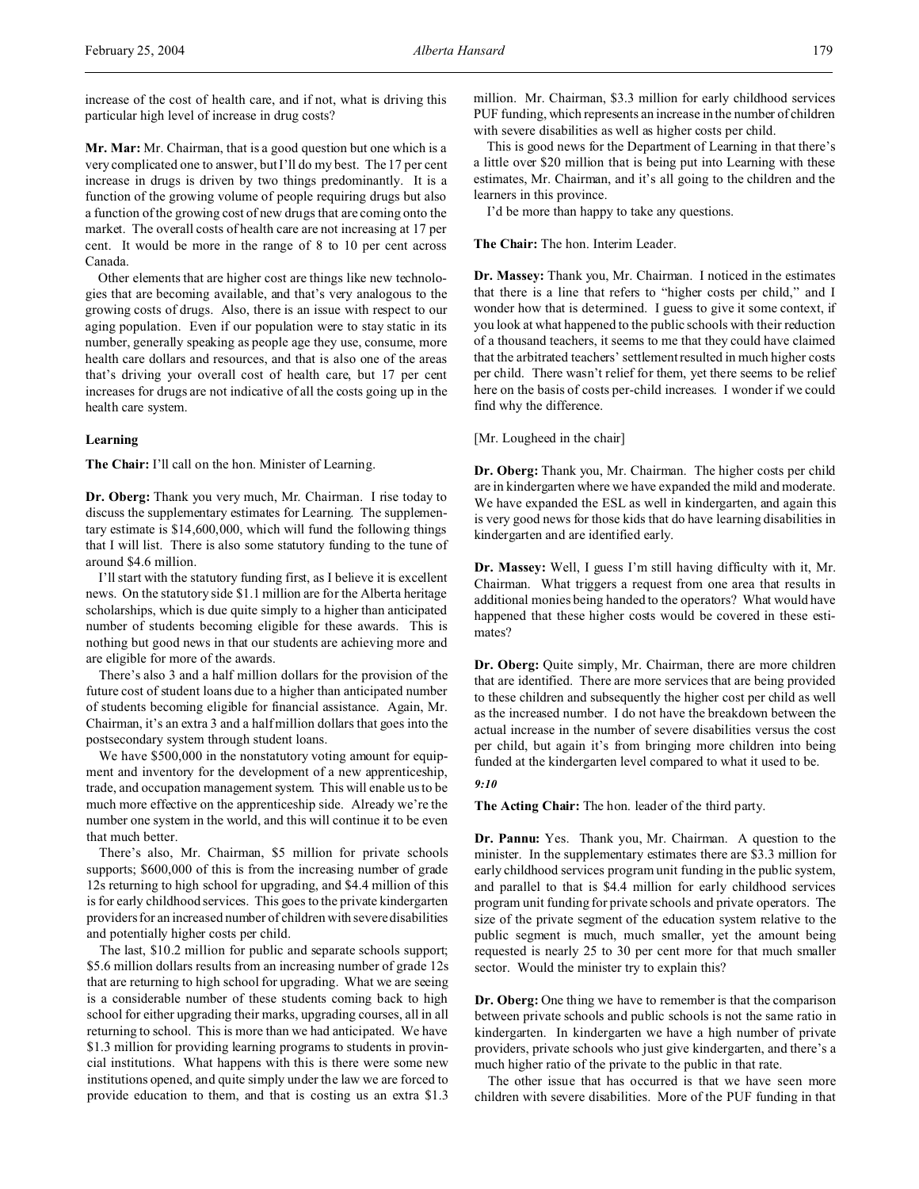increase of the cost of health care, and if not, what is driving this particular high level of increase in drug costs?

**Mr. Mar:** Mr. Chairman, that is a good question but one which is a very complicated one to answer, but I'll do my best. The 17 per cent increase in drugs is driven by two things predominantly. It is a function of the growing volume of people requiring drugs but also a function of the growing cost of new drugs that are coming onto the market. The overall costs of health care are not increasing at 17 per cent. It would be more in the range of 8 to 10 per cent across Canada.

Other elements that are higher cost are things like new technologies that are becoming available, and that's very analogous to the growing costs of drugs. Also, there is an issue with respect to our aging population. Even if our population were to stay static in its number, generally speaking as people age they use, consume, more health care dollars and resources, and that is also one of the areas that's driving your overall cost of health care, but 17 per cent increases for drugs are not indicative of all the costs going up in the health care system.

### **Learning**

**The Chair:** I'll call on the hon. Minister of Learning.

**Dr. Oberg:** Thank you very much, Mr. Chairman. I rise today to discuss the supplementary estimates for Learning. The supplementary estimate is \$14,600,000, which will fund the following things that I will list. There is also some statutory funding to the tune of around \$4.6 million.

I'll start with the statutory funding first, as I believe it is excellent news. On the statutory side \$1.1 million are for the Alberta heritage scholarships, which is due quite simply to a higher than anticipated number of students becoming eligible for these awards. This is nothing but good news in that our students are achieving more and are eligible for more of the awards.

There's also 3 and a half million dollars for the provision of the future cost of student loans due to a higher than anticipated number of students becoming eligible for financial assistance. Again, Mr. Chairman, it's an extra 3 and a half million dollars that goes into the postsecondary system through student loans.

We have \$500,000 in the nonstatutory voting amount for equipment and inventory for the development of a new apprenticeship, trade, and occupation management system. This will enable us to be much more effective on the apprenticeship side. Already we're the number one system in the world, and this will continue it to be even that much better.

There's also, Mr. Chairman, \$5 million for private schools supports; \$600,000 of this is from the increasing number of grade 12s returning to high school for upgrading, and \$4.4 million of this is for early childhood services. This goes to the private kindergarten providers for an increased number of children with severe disabilities and potentially higher costs per child.

The last, \$10.2 million for public and separate schools support; \$5.6 million dollars results from an increasing number of grade 12s that are returning to high school for upgrading. What we are seeing is a considerable number of these students coming back to high school for either upgrading their marks, upgrading courses, all in all returning to school. This is more than we had anticipated. We have \$1.3 million for providing learning programs to students in provincial institutions. What happens with this is there were some new institutions opened, and quite simply under the law we are forced to provide education to them, and that is costing us an extra \$1.3 million. Mr. Chairman, \$3.3 million for early childhood services PUF funding, which represents an increase in the number of children with severe disabilities as well as higher costs per child.

This is good news for the Department of Learning in that there's a little over \$20 million that is being put into Learning with these estimates, Mr. Chairman, and it's all going to the children and the learners in this province.

I'd be more than happy to take any questions.

**The Chair:** The hon. Interim Leader.

**Dr. Massey:** Thank you, Mr. Chairman. I noticed in the estimates that there is a line that refers to "higher costs per child," and I wonder how that is determined. I guess to give it some context, if you look at what happened to the public schools with their reduction of a thousand teachers, it seems to me that they could have claimed that the arbitrated teachers' settlement resulted in much higher costs per child. There wasn't relief for them, yet there seems to be relief here on the basis of costs per-child increases. I wonder if we could find why the difference.

[Mr. Lougheed in the chair]

**Dr. Oberg:** Thank you, Mr. Chairman. The higher costs per child are in kindergarten where we have expanded the mild and moderate. We have expanded the ESL as well in kindergarten, and again this is very good news for those kids that do have learning disabilities in kindergarten and are identified early.

**Dr. Massey:** Well, I guess I'm still having difficulty with it, Mr. Chairman. What triggers a request from one area that results in additional monies being handed to the operators? What would have happened that these higher costs would be covered in these estimates?

**Dr. Oberg:** Quite simply, Mr. Chairman, there are more children that are identified. There are more services that are being provided to these children and subsequently the higher cost per child as well as the increased number. I do not have the breakdown between the actual increase in the number of severe disabilities versus the cost per child, but again it's from bringing more children into being funded at the kindergarten level compared to what it used to be.

# *9:10*

**The Acting Chair:** The hon. leader of the third party.

**Dr. Pannu:** Yes. Thank you, Mr. Chairman. A question to the minister. In the supplementary estimates there are \$3.3 million for early childhood services program unit funding in the public system, and parallel to that is \$4.4 million for early childhood services program unit funding for private schools and private operators. The size of the private segment of the education system relative to the public segment is much, much smaller, yet the amount being requested is nearly 25 to 30 per cent more for that much smaller sector. Would the minister try to explain this?

**Dr. Oberg:** One thing we have to remember is that the comparison between private schools and public schools is not the same ratio in kindergarten. In kindergarten we have a high number of private providers, private schools who just give kindergarten, and there's a much higher ratio of the private to the public in that rate.

The other issue that has occurred is that we have seen more children with severe disabilities. More of the PUF funding in that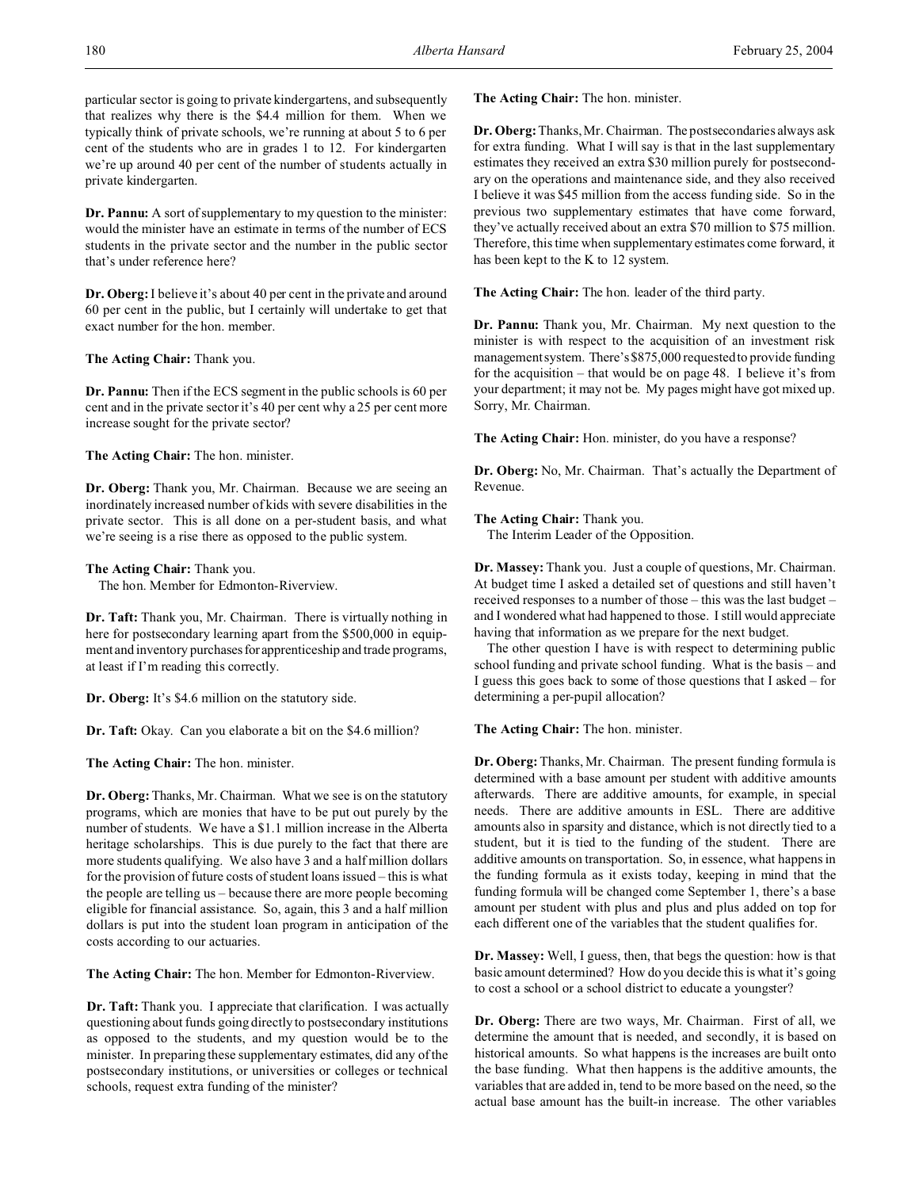particular sector is going to private kindergartens, and subsequently that realizes why there is the \$4.4 million for them. When we typically think of private schools, we're running at about 5 to 6 per cent of the students who are in grades 1 to 12. For kindergarten we're up around 40 per cent of the number of students actually in private kindergarten.

**Dr. Pannu:** A sort of supplementary to my question to the minister: would the minister have an estimate in terms of the number of ECS students in the private sector and the number in the public sector that's under reference here?

**Dr. Oberg:**I believe it's about 40 per cent in the private and around 60 per cent in the public, but I certainly will undertake to get that exact number for the hon. member.

**The Acting Chair:** Thank you.

**Dr. Pannu:** Then if the ECS segment in the public schools is 60 per cent and in the private sector it's 40 per cent why a 25 per cent more increase sought for the private sector?

**The Acting Chair:** The hon. minister.

**Dr. Oberg:** Thank you, Mr. Chairman. Because we are seeing an inordinately increased number of kids with severe disabilities in the private sector. This is all done on a per-student basis, and what we're seeing is a rise there as opposed to the public system.

# **The Acting Chair:** Thank you.

The hon. Member for Edmonton-Riverview.

**Dr. Taft:** Thank you, Mr. Chairman. There is virtually nothing in here for postsecondary learning apart from the \$500,000 in equipment and inventory purchases for apprenticeship and trade programs, at least if I'm reading this correctly.

**Dr. Oberg:** It's \$4.6 million on the statutory side.

**Dr. Taft:** Okay. Can you elaborate a bit on the \$4.6 million?

**The Acting Chair:** The hon. minister.

**Dr. Oberg:**Thanks, Mr. Chairman. What we see is on the statutory programs, which are monies that have to be put out purely by the number of students. We have a \$1.1 million increase in the Alberta heritage scholarships. This is due purely to the fact that there are more students qualifying. We also have 3 and a half million dollars for the provision of future costs of student loans issued – this is what the people are telling us – because there are more people becoming eligible for financial assistance. So, again, this 3 and a half million dollars is put into the student loan program in anticipation of the costs according to our actuaries.

**The Acting Chair:** The hon. Member for Edmonton-Riverview.

**Dr. Taft:** Thank you. I appreciate that clarification. I was actually questioning about funds going directly to postsecondary institutions as opposed to the students, and my question would be to the minister. In preparing these supplementary estimates, did any of the postsecondary institutions, or universities or colleges or technical schools, request extra funding of the minister?

**The Acting Chair:** The hon. minister.

**Dr. Oberg:**Thanks, Mr. Chairman. The postsecondaries always ask for extra funding. What I will say is that in the last supplementary estimates they received an extra \$30 million purely for postsecondary on the operations and maintenance side, and they also received I believe it was \$45 million from the access funding side. So in the previous two supplementary estimates that have come forward, they've actually received about an extra \$70 million to \$75 million. Therefore, this time when supplementary estimates come forward, it has been kept to the K to 12 system.

**The Acting Chair:** The hon. leader of the third party.

**Dr. Pannu:** Thank you, Mr. Chairman. My next question to the minister is with respect to the acquisition of an investment risk management system. There's\$875,000 requested to provide funding for the acquisition – that would be on page 48. I believe it's from your department; it may not be. My pages might have got mixed up. Sorry, Mr. Chairman.

**The Acting Chair:** Hon. minister, do you have a response?

**Dr. Oberg:** No, Mr. Chairman. That's actually the Department of Revenue.

# **The Acting Chair:** Thank you.

The Interim Leader of the Opposition.

**Dr. Massey:** Thank you. Just a couple of questions, Mr. Chairman. At budget time I asked a detailed set of questions and still haven't received responses to a number of those – this was the last budget – and I wondered what had happened to those. I still would appreciate having that information as we prepare for the next budget.

The other question I have is with respect to determining public school funding and private school funding. What is the basis – and I guess this goes back to some of those questions that I asked – for determining a per-pupil allocation?

**The Acting Chair:** The hon. minister.

**Dr. Oberg:**Thanks, Mr. Chairman. The present funding formula is determined with a base amount per student with additive amounts afterwards. There are additive amounts, for example, in special needs. There are additive amounts in ESL. There are additive amounts also in sparsity and distance, which is not directly tied to a student, but it is tied to the funding of the student. There are additive amounts on transportation. So, in essence, what happens in the funding formula as it exists today, keeping in mind that the funding formula will be changed come September 1, there's a base amount per student with plus and plus and plus added on top for each different one of the variables that the student qualifies for.

**Dr. Massey:** Well, I guess, then, that begs the question: how is that basic amount determined? How do you decide this is what it's going to cost a school or a school district to educate a youngster?

**Dr. Oberg:** There are two ways, Mr. Chairman. First of all, we determine the amount that is needed, and secondly, it is based on historical amounts. So what happens is the increases are built onto the base funding. What then happens is the additive amounts, the variables that are added in, tend to be more based on the need, so the actual base amount has the built-in increase. The other variables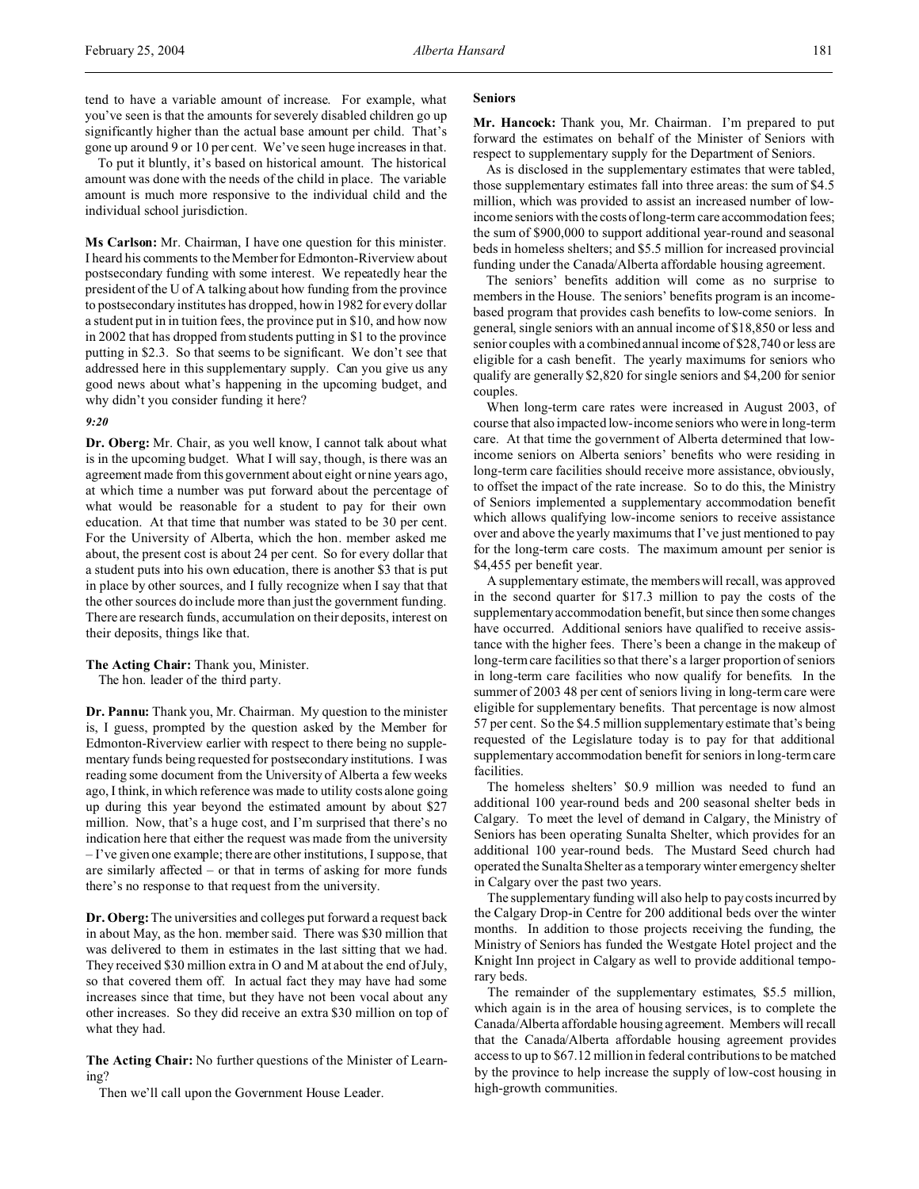To put it bluntly, it's based on historical amount. The historical amount was done with the needs of the child in place. The variable amount is much more responsive to the individual child and the individual school jurisdiction.

**Ms Carlson:** Mr. Chairman, I have one question for this minister. I heard his comments to the Member for Edmonton-Riverview about postsecondary funding with some interest. We repeatedly hear the president of the U of A talking about how funding from the province to postsecondary institutes has dropped, how in 1982 for every dollar a student put in in tuition fees, the province put in \$10, and how now in 2002 that has dropped from students putting in \$1 to the province putting in \$2.3. So that seems to be significant. We don't see that addressed here in this supplementary supply. Can you give us any good news about what's happening in the upcoming budget, and why didn't you consider funding it here?

# *9:20*

**Dr. Oberg:** Mr. Chair, as you well know, I cannot talk about what is in the upcoming budget. What I will say, though, is there was an agreement made from this government about eight or nine years ago, at which time a number was put forward about the percentage of what would be reasonable for a student to pay for their own education. At that time that number was stated to be 30 per cent. For the University of Alberta, which the hon. member asked me about, the present cost is about 24 per cent. So for every dollar that a student puts into his own education, there is another \$3 that is put in place by other sources, and I fully recognize when I say that that the other sources do include more than just the government funding. There are research funds, accumulation on their deposits, interest on their deposits, things like that.

**The Acting Chair:** Thank you, Minister.

The hon. leader of the third party.

**Dr. Pannu:** Thank you, Mr. Chairman. My question to the minister is, I guess, prompted by the question asked by the Member for Edmonton-Riverview earlier with respect to there being no supplementary funds being requested for postsecondary institutions. I was reading some document from the University of Alberta a few weeks ago, I think, in which reference was made to utility costs alone going up during this year beyond the estimated amount by about \$27 million. Now, that's a huge cost, and I'm surprised that there's no indication here that either the request was made from the university – I've given one example; there are other institutions, I suppose, that are similarly affected – or that in terms of asking for more funds there's no response to that request from the university.

**Dr. Oberg:**The universities and colleges put forward a request back in about May, as the hon. member said. There was \$30 million that was delivered to them in estimates in the last sitting that we had. They received \$30 million extra in O and M at about the end of July, so that covered them off. In actual fact they may have had some increases since that time, but they have not been vocal about any other increases. So they did receive an extra \$30 million on top of what they had.

**The Acting Chair:** No further questions of the Minister of Learning?

Then we'll call upon the Government House Leader.

### **Seniors**

**Mr. Hancock:** Thank you, Mr. Chairman. I'm prepared to put forward the estimates on behalf of the Minister of Seniors with respect to supplementary supply for the Department of Seniors.

As is disclosed in the supplementary estimates that were tabled, those supplementary estimates fall into three areas: the sum of \$4.5 million, which was provided to assist an increased number of lowincome seniors with the costs of long-term care accommodation fees; the sum of \$900,000 to support additional year-round and seasonal beds in homeless shelters; and \$5.5 million for increased provincial funding under the Canada/Alberta affordable housing agreement.

The seniors' benefits addition will come as no surprise to members in the House. The seniors' benefits program is an incomebased program that provides cash benefits to low-come seniors. In general, single seniors with an annual income of \$18,850 or less and senior couples with a combined annual income of \$28,740 or less are eligible for a cash benefit. The yearly maximums for seniors who qualify are generally \$2,820 for single seniors and \$4,200 for senior couples.

When long-term care rates were increased in August 2003, of course that also impacted low-income seniors who were in long-term care. At that time the government of Alberta determined that lowincome seniors on Alberta seniors' benefits who were residing in long-term care facilities should receive more assistance, obviously, to offset the impact of the rate increase. So to do this, the Ministry of Seniors implemented a supplementary accommodation benefit which allows qualifying low-income seniors to receive assistance over and above the yearly maximums that I've just mentioned to pay for the long-term care costs. The maximum amount per senior is \$4,455 per benefit year.

A supplementary estimate, the members will recall, was approved in the second quarter for \$17.3 million to pay the costs of the supplementary accommodation benefit, but since then some changes have occurred. Additional seniors have qualified to receive assistance with the higher fees. There's been a change in the makeup of long-term care facilities so that there's a larger proportion of seniors in long-term care facilities who now qualify for benefits. In the summer of 2003 48 per cent of seniors living in long-term care were eligible for supplementary benefits. That percentage is now almost 57 per cent. So the \$4.5 million supplementary estimate that's being requested of the Legislature today is to pay for that additional supplementary accommodation benefit for seniors in long-term care facilities.

The homeless shelters' \$0.9 million was needed to fund an additional 100 year-round beds and 200 seasonal shelter beds in Calgary. To meet the level of demand in Calgary, the Ministry of Seniors has been operating Sunalta Shelter, which provides for an additional 100 year-round beds. The Mustard Seed church had operated the Sunalta Shelter as a temporary winter emergency shelter in Calgary over the past two years.

The supplementary funding will also help to pay costs incurred by the Calgary Drop-in Centre for 200 additional beds over the winter months. In addition to those projects receiving the funding, the Ministry of Seniors has funded the Westgate Hotel project and the Knight Inn project in Calgary as well to provide additional temporary beds.

The remainder of the supplementary estimates, \$5.5 million, which again is in the area of housing services, is to complete the Canada/Alberta affordable housing agreement. Members will recall that the Canada/Alberta affordable housing agreement provides access to up to \$67.12 million in federal contributions to be matched by the province to help increase the supply of low-cost housing in high-growth communities.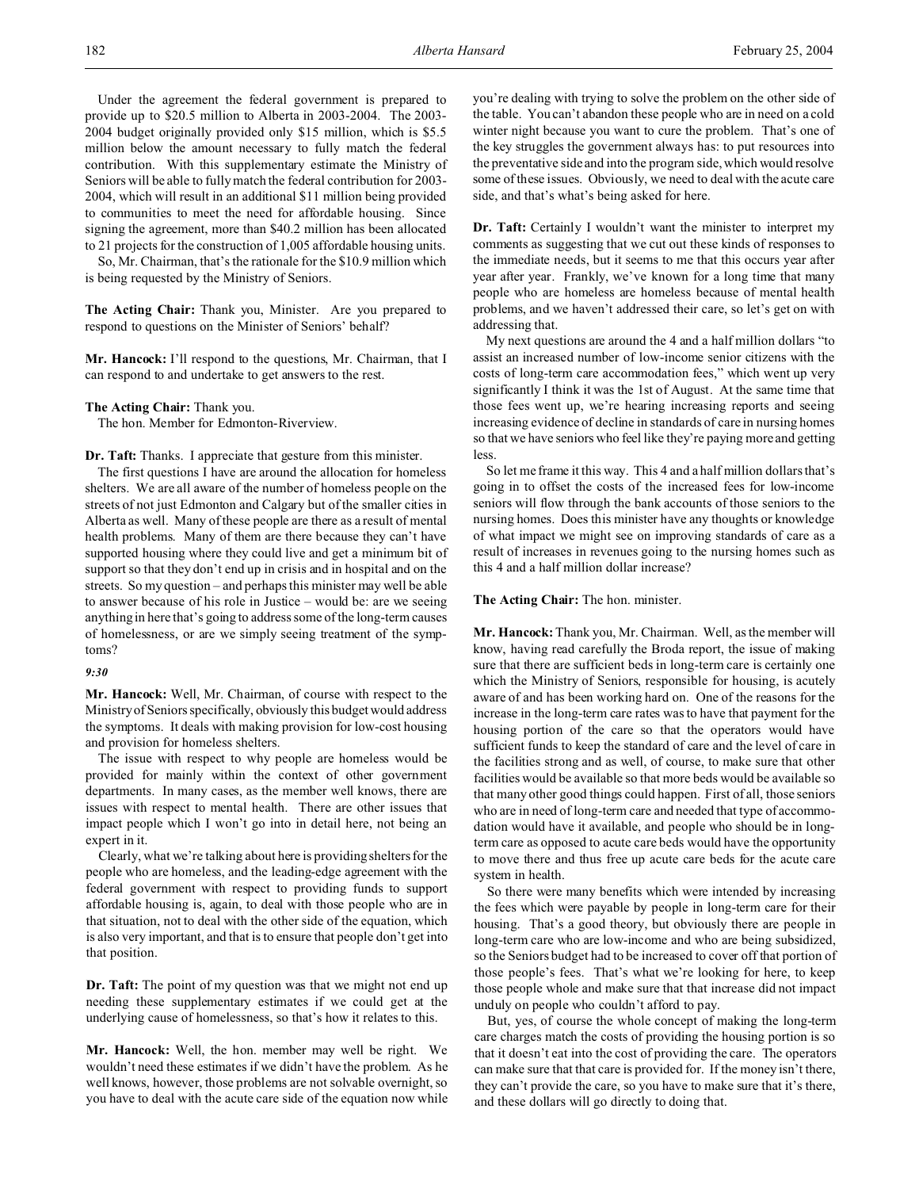Under the agreement the federal government is prepared to provide up to \$20.5 million to Alberta in 2003-2004. The 2003- 2004 budget originally provided only \$15 million, which is \$5.5 million below the amount necessary to fully match the federal contribution. With this supplementary estimate the Ministry of Seniors will be able to fully match the federal contribution for 2003- 2004, which will result in an additional \$11 million being provided to communities to meet the need for affordable housing. Since signing the agreement, more than \$40.2 million has been allocated to 21 projects for the construction of 1,005 affordable housing units.

So, Mr. Chairman, that's the rationale for the \$10.9 million which is being requested by the Ministry of Seniors.

**The Acting Chair:** Thank you, Minister. Are you prepared to respond to questions on the Minister of Seniors' behalf?

**Mr. Hancock:** I'll respond to the questions, Mr. Chairman, that I can respond to and undertake to get answers to the rest.

## **The Acting Chair:** Thank you.

The hon. Member for Edmonton-Riverview.

**Dr. Taft:** Thanks. I appreciate that gesture from this minister.

The first questions I have are around the allocation for homeless shelters. We are all aware of the number of homeless people on the streets of not just Edmonton and Calgary but of the smaller cities in Alberta as well. Many of these people are there as a result of mental health problems. Many of them are there because they can't have supported housing where they could live and get a minimum bit of support so that they don't end up in crisis and in hospital and on the streets. So my question – and perhaps this minister may well be able to answer because of his role in Justice – would be: are we seeing anything in here that's going to address some of the long-term causes of homelessness, or are we simply seeing treatment of the symptoms?

#### *9:30*

**Mr. Hancock:** Well, Mr. Chairman, of course with respect to the Ministry of Seniors specifically, obviously this budget would address the symptoms. It deals with making provision for low-cost housing and provision for homeless shelters.

The issue with respect to why people are homeless would be provided for mainly within the context of other government departments. In many cases, as the member well knows, there are issues with respect to mental health. There are other issues that impact people which I won't go into in detail here, not being an expert in it.

Clearly, what we're talking about here is providing shelters for the people who are homeless, and the leading-edge agreement with the federal government with respect to providing funds to support affordable housing is, again, to deal with those people who are in that situation, not to deal with the other side of the equation, which is also very important, and that is to ensure that people don't get into that position.

**Dr. Taft:** The point of my question was that we might not end up needing these supplementary estimates if we could get at the underlying cause of homelessness, so that's how it relates to this.

**Mr. Hancock:** Well, the hon. member may well be right. We wouldn't need these estimates if we didn't have the problem. As he well knows, however, those problems are not solvable overnight, so you have to deal with the acute care side of the equation now while you're dealing with trying to solve the problem on the other side of the table. You can't abandon these people who are in need on a cold winter night because you want to cure the problem. That's one of the key struggles the government always has: to put resources into the preventative side and into the program side, which would resolve some of these issues. Obviously, we need to deal with the acute care side, and that's what's being asked for here.

**Dr. Taft:** Certainly I wouldn't want the minister to interpret my comments as suggesting that we cut out these kinds of responses to the immediate needs, but it seems to me that this occurs year after year after year. Frankly, we've known for a long time that many people who are homeless are homeless because of mental health problems, and we haven't addressed their care, so let's get on with addressing that.

My next questions are around the 4 and a half million dollars "to assist an increased number of low-income senior citizens with the costs of long-term care accommodation fees," which went up very significantly I think it was the 1st of August. At the same time that those fees went up, we're hearing increasing reports and seeing increasing evidence of decline in standards of care in nursing homes so that we have seniors who feel like they're paying more and getting less.

So let me frame it this way. This 4 and a half million dollars that's going in to offset the costs of the increased fees for low-income seniors will flow through the bank accounts of those seniors to the nursing homes. Does this minister have any thoughts or knowledge of what impact we might see on improving standards of care as a result of increases in revenues going to the nursing homes such as this 4 and a half million dollar increase?

### **The Acting Chair:** The hon. minister.

**Mr. Hancock:** Thank you, Mr. Chairman. Well, as the member will know, having read carefully the Broda report, the issue of making sure that there are sufficient beds in long-term care is certainly one which the Ministry of Seniors, responsible for housing, is acutely aware of and has been working hard on. One of the reasons for the increase in the long-term care rates was to have that payment for the housing portion of the care so that the operators would have sufficient funds to keep the standard of care and the level of care in the facilities strong and as well, of course, to make sure that other facilities would be available so that more beds would be available so that many other good things could happen. First of all, those seniors who are in need of long-term care and needed that type of accommodation would have it available, and people who should be in longterm care as opposed to acute care beds would have the opportunity to move there and thus free up acute care beds for the acute care system in health.

So there were many benefits which were intended by increasing the fees which were payable by people in long-term care for their housing. That's a good theory, but obviously there are people in long-term care who are low-income and who are being subsidized, so the Seniors budget had to be increased to cover off that portion of those people's fees. That's what we're looking for here, to keep those people whole and make sure that that increase did not impact unduly on people who couldn't afford to pay.

But, yes, of course the whole concept of making the long-term care charges match the costs of providing the housing portion is so that it doesn't eat into the cost of providing the care. The operators can make sure that that care is provided for. If the money isn't there, they can't provide the care, so you have to make sure that it's there, and these dollars will go directly to doing that.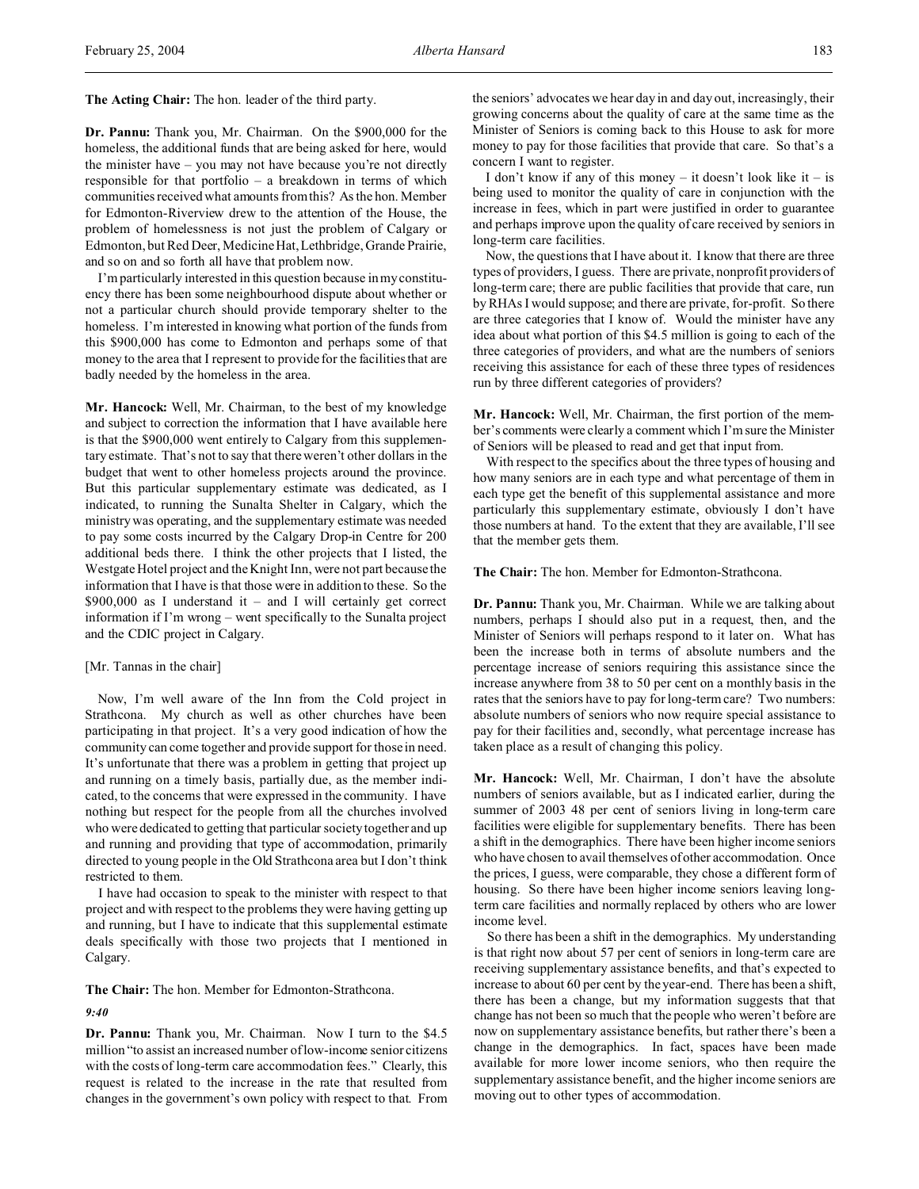**The Acting Chair:** The hon. leader of the third party.

**Dr. Pannu:** Thank you, Mr. Chairman. On the \$900,000 for the homeless, the additional funds that are being asked for here, would the minister have – you may not have because you're not directly responsible for that portfolio – a breakdown in terms of which communities received what amounts from this? As the hon. Member for Edmonton-Riverview drew to the attention of the House, the problem of homelessness is not just the problem of Calgary or Edmonton, but Red Deer, Medicine Hat, Lethbridge, Grande Prairie, and so on and so forth all have that problem now.

I'm particularly interested in this question because in my constituency there has been some neighbourhood dispute about whether or not a particular church should provide temporary shelter to the homeless. I'm interested in knowing what portion of the funds from this \$900,000 has come to Edmonton and perhaps some of that money to the area that I represent to provide for the facilities that are badly needed by the homeless in the area.

**Mr. Hancock:** Well, Mr. Chairman, to the best of my knowledge and subject to correction the information that I have available here is that the \$900,000 went entirely to Calgary from this supplementary estimate. That's not to say that there weren't other dollars in the budget that went to other homeless projects around the province. But this particular supplementary estimate was dedicated, as I indicated, to running the Sunalta Shelter in Calgary, which the ministry was operating, and the supplementary estimate was needed to pay some costs incurred by the Calgary Drop-in Centre for 200 additional beds there. I think the other projects that I listed, the Westgate Hotel project and the Knight Inn, were not part because the information that I have is that those were in addition to these. So the  $$900,000$  as I understand it – and I will certainly get correct information if I'm wrong – went specifically to the Sunalta project and the CDIC project in Calgary.

## [Mr. Tannas in the chair]

Now, I'm well aware of the Inn from the Cold project in Strathcona. My church as well as other churches have been participating in that project. It's a very good indication of how the community can come together and provide support for those in need. It's unfortunate that there was a problem in getting that project up and running on a timely basis, partially due, as the member indicated, to the concerns that were expressed in the community. I have nothing but respect for the people from all the churches involved who were dedicated to getting that particular society together and up and running and providing that type of accommodation, primarily directed to young people in the Old Strathcona area but I don't think restricted to them.

I have had occasion to speak to the minister with respect to that project and with respect to the problems they were having getting up and running, but I have to indicate that this supplemental estimate deals specifically with those two projects that I mentioned in Calgary.

**The Chair:** The hon. Member for Edmonton-Strathcona.

### *9:40*

**Dr. Pannu:** Thank you, Mr. Chairman. Now I turn to the \$4.5 million "to assist an increased number of low-income senior citizens with the costs of long-term care accommodation fees." Clearly, this request is related to the increase in the rate that resulted from changes in the government's own policy with respect to that. From the seniors' advocates we hear day in and day out, increasingly, their growing concerns about the quality of care at the same time as the Minister of Seniors is coming back to this House to ask for more money to pay for those facilities that provide that care. So that's a concern I want to register.

I don't know if any of this money – it doesn't look like it – is being used to monitor the quality of care in conjunction with the increase in fees, which in part were justified in order to guarantee and perhaps improve upon the quality of care received by seniors in long-term care facilities.

Now, the questions that I have about it. I know that there are three types of providers, I guess. There are private, nonprofit providers of long-term care; there are public facilities that provide that care, run by RHAs I would suppose; and there are private, for-profit. So there are three categories that I know of. Would the minister have any idea about what portion of this \$4.5 million is going to each of the three categories of providers, and what are the numbers of seniors receiving this assistance for each of these three types of residences run by three different categories of providers?

**Mr. Hancock:** Well, Mr. Chairman, the first portion of the member's comments were clearly a comment which I'm sure the Minister of Seniors will be pleased to read and get that input from.

With respect to the specifics about the three types of housing and how many seniors are in each type and what percentage of them in each type get the benefit of this supplemental assistance and more particularly this supplementary estimate, obviously I don't have those numbers at hand. To the extent that they are available, I'll see that the member gets them.

**The Chair:** The hon. Member for Edmonton-Strathcona.

**Dr. Pannu:** Thank you, Mr. Chairman. While we are talking about numbers, perhaps I should also put in a request, then, and the Minister of Seniors will perhaps respond to it later on. What has been the increase both in terms of absolute numbers and the percentage increase of seniors requiring this assistance since the increase anywhere from 38 to 50 per cent on a monthly basis in the rates that the seniors have to pay for long-term care? Two numbers: absolute numbers of seniors who now require special assistance to pay for their facilities and, secondly, what percentage increase has taken place as a result of changing this policy.

**Mr. Hancock:** Well, Mr. Chairman, I don't have the absolute numbers of seniors available, but as I indicated earlier, during the summer of 2003 48 per cent of seniors living in long-term care facilities were eligible for supplementary benefits. There has been a shift in the demographics. There have been higher income seniors who have chosen to avail themselves of other accommodation. Once the prices, I guess, were comparable, they chose a different form of housing. So there have been higher income seniors leaving longterm care facilities and normally replaced by others who are lower income level.

So there has been a shift in the demographics. My understanding is that right now about 57 per cent of seniors in long-term care are receiving supplementary assistance benefits, and that's expected to increase to about 60 per cent by the year-end. There has been a shift, there has been a change, but my information suggests that that change has not been so much that the people who weren't before are now on supplementary assistance benefits, but rather there's been a change in the demographics. In fact, spaces have been made available for more lower income seniors, who then require the supplementary assistance benefit, and the higher income seniors are moving out to other types of accommodation.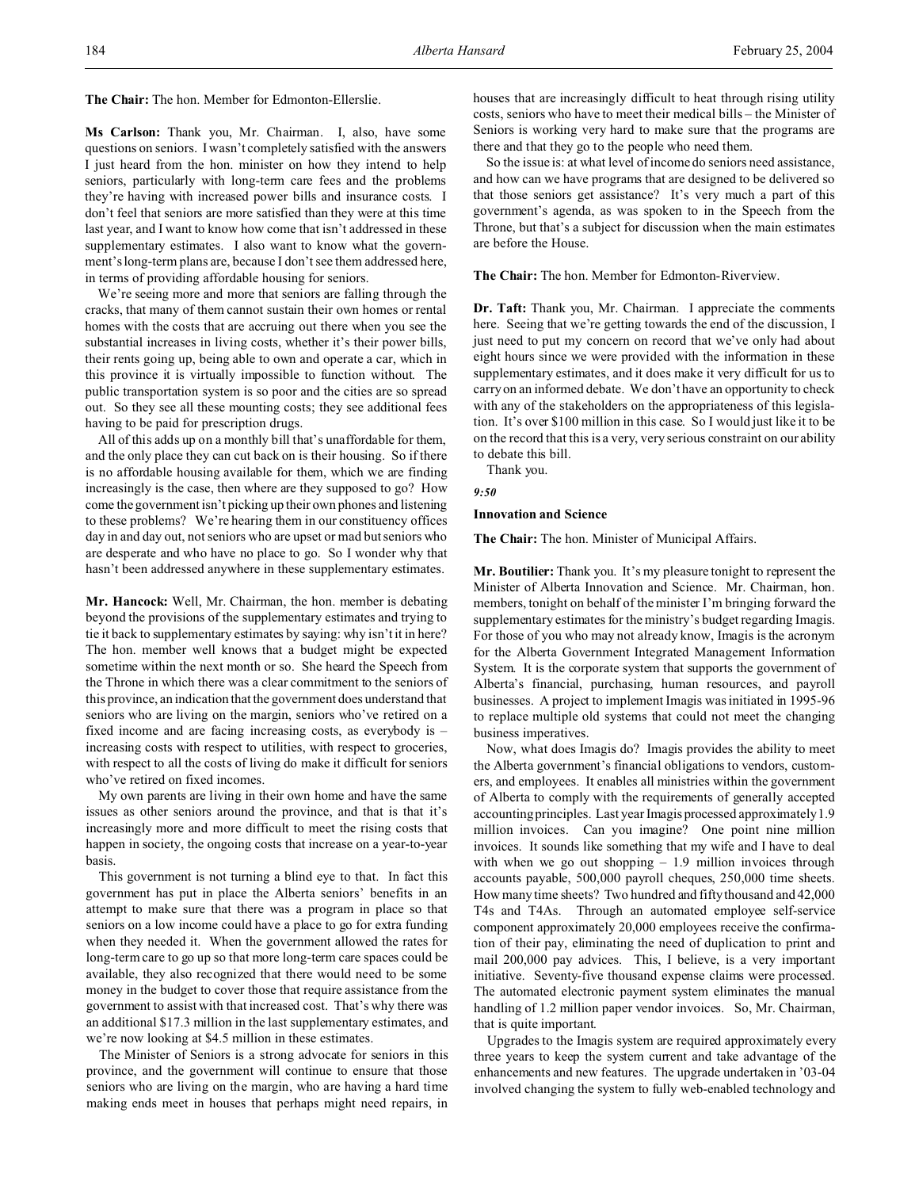**The Chair:** The hon. Member for Edmonton-Ellerslie.

**Ms Carlson:** Thank you, Mr. Chairman. I, also, have some questions on seniors. I wasn't completely satisfied with the answers I just heard from the hon. minister on how they intend to help seniors, particularly with long-term care fees and the problems they're having with increased power bills and insurance costs. I don't feel that seniors are more satisfied than they were at this time last year, and I want to know how come that isn't addressed in these supplementary estimates. I also want to know what the government's long-term plans are, because I don't see them addressed here, in terms of providing affordable housing for seniors.

We're seeing more and more that seniors are falling through the cracks, that many of them cannot sustain their own homes or rental homes with the costs that are accruing out there when you see the substantial increases in living costs, whether it's their power bills, their rents going up, being able to own and operate a car, which in this province it is virtually impossible to function without. The public transportation system is so poor and the cities are so spread out. So they see all these mounting costs; they see additional fees having to be paid for prescription drugs.

All of this adds up on a monthly bill that's unaffordable for them, and the only place they can cut back on is their housing. So if there is no affordable housing available for them, which we are finding increasingly is the case, then where are they supposed to go? How come the government isn't picking up their own phones and listening to these problems? We're hearing them in our constituency offices day in and day out, not seniors who are upset or mad but seniors who are desperate and who have no place to go. So I wonder why that hasn't been addressed anywhere in these supplementary estimates.

**Mr. Hancock:** Well, Mr. Chairman, the hon. member is debating beyond the provisions of the supplementary estimates and trying to tie it back to supplementary estimates by saying: why isn't it in here? The hon. member well knows that a budget might be expected sometime within the next month or so. She heard the Speech from the Throne in which there was a clear commitment to the seniors of this province, an indication that the government does understand that seniors who are living on the margin, seniors who've retired on a fixed income and are facing increasing costs, as everybody is – increasing costs with respect to utilities, with respect to groceries, with respect to all the costs of living do make it difficult for seniors who've retired on fixed incomes.

My own parents are living in their own home and have the same issues as other seniors around the province, and that is that it's increasingly more and more difficult to meet the rising costs that happen in society, the ongoing costs that increase on a year-to-year basis.

This government is not turning a blind eye to that. In fact this government has put in place the Alberta seniors' benefits in an attempt to make sure that there was a program in place so that seniors on a low income could have a place to go for extra funding when they needed it. When the government allowed the rates for long-term care to go up so that more long-term care spaces could be available, they also recognized that there would need to be some money in the budget to cover those that require assistance from the government to assist with that increased cost. That's why there was an additional \$17.3 million in the last supplementary estimates, and we're now looking at \$4.5 million in these estimates.

The Minister of Seniors is a strong advocate for seniors in this province, and the government will continue to ensure that those seniors who are living on the margin, who are having a hard time making ends meet in houses that perhaps might need repairs, in

houses that are increasingly difficult to heat through rising utility costs, seniors who have to meet their medical bills – the Minister of Seniors is working very hard to make sure that the programs are there and that they go to the people who need them.

So the issue is: at what level of income do seniors need assistance, and how can we have programs that are designed to be delivered so that those seniors get assistance? It's very much a part of this government's agenda, as was spoken to in the Speech from the Throne, but that's a subject for discussion when the main estimates are before the House.

**The Chair:** The hon. Member for Edmonton-Riverview.

**Dr. Taft:** Thank you, Mr. Chairman. I appreciate the comments here. Seeing that we're getting towards the end of the discussion, I just need to put my concern on record that we've only had about eight hours since we were provided with the information in these supplementary estimates, and it does make it very difficult for us to carry on an informed debate. We don't have an opportunity to check with any of the stakeholders on the appropriateness of this legislation. It's over \$100 million in this case. So I would just like it to be on the record that this is a very, very serious constraint on our ability to debate this bill.

Thank you.

*9:50*

#### **Innovation and Science**

**The Chair:** The hon. Minister of Municipal Affairs.

**Mr. Boutilier:** Thank you. It's my pleasure tonight to represent the Minister of Alberta Innovation and Science. Mr. Chairman, hon. members, tonight on behalf of the minister I'm bringing forward the supplementary estimates for the ministry's budget regarding Imagis. For those of you who may not already know, Imagis is the acronym for the Alberta Government Integrated Management Information System. It is the corporate system that supports the government of Alberta's financial, purchasing, human resources, and payroll businesses. A project to implement Imagis was initiated in 1995-96 to replace multiple old systems that could not meet the changing business imperatives.

Now, what does Imagis do? Imagis provides the ability to meet the Alberta government's financial obligations to vendors, customers, and employees. It enables all ministries within the government of Alberta to comply with the requirements of generally accepted accounting principles. Last year Imagis processed approximately 1.9 million invoices. Can you imagine? One point nine million invoices. It sounds like something that my wife and I have to deal with when we go out shopping  $-1.9$  million invoices through accounts payable, 500,000 payroll cheques, 250,000 time sheets. How many time sheets? Two hundred and fifty thousand and 42,000 T4s and T4As. Through an automated employee self-service component approximately 20,000 employees receive the confirmation of their pay, eliminating the need of duplication to print and mail 200,000 pay advices. This, I believe, is a very important initiative. Seventy-five thousand expense claims were processed. The automated electronic payment system eliminates the manual handling of 1.2 million paper vendor invoices. So, Mr. Chairman, that is quite important.

Upgrades to the Imagis system are required approximately every three years to keep the system current and take advantage of the enhancements and new features. The upgrade undertaken in '03-04 involved changing the system to fully web-enabled technology and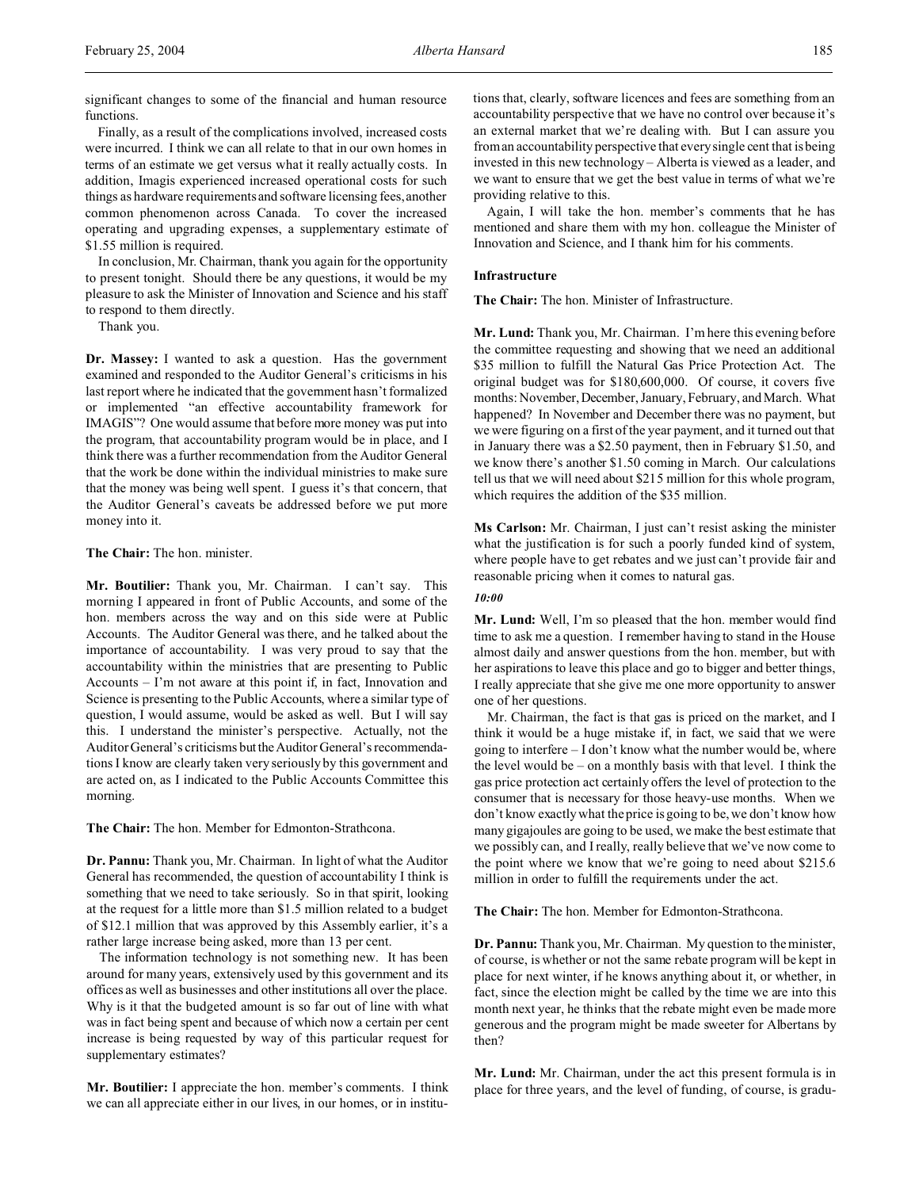Finally, as a result of the complications involved, increased costs were incurred. I think we can all relate to that in our own homes in terms of an estimate we get versus what it really actually costs. In addition, Imagis experienced increased operational costs for such things as hardware requirements and software licensing fees, another common phenomenon across Canada. To cover the increased operating and upgrading expenses, a supplementary estimate of \$1.55 million is required.

In conclusion, Mr. Chairman, thank you again for the opportunity to present tonight. Should there be any questions, it would be my pleasure to ask the Minister of Innovation and Science and his staff to respond to them directly.

Thank you.

**Dr. Massey:** I wanted to ask a question. Has the government examined and responded to the Auditor General's criticisms in his last report where he indicated that the government hasn't formalized or implemented "an effective accountability framework for IMAGIS"? One would assume that before more money was put into the program, that accountability program would be in place, and I think there was a further recommendation from the Auditor General that the work be done within the individual ministries to make sure that the money was being well spent. I guess it's that concern, that the Auditor General's caveats be addressed before we put more money into it.

**The Chair:** The hon. minister.

**Mr. Boutilier:** Thank you, Mr. Chairman. I can't say. This morning I appeared in front of Public Accounts, and some of the hon. members across the way and on this side were at Public Accounts. The Auditor General was there, and he talked about the importance of accountability. I was very proud to say that the accountability within the ministries that are presenting to Public Accounts – I'm not aware at this point if, in fact, Innovation and Science is presenting to the Public Accounts, where a similar type of question, I would assume, would be asked as well. But I will say this. I understand the minister's perspective. Actually, not the Auditor General's criticisms but the Auditor General's recommendations I know are clearly taken very seriously by this government and are acted on, as I indicated to the Public Accounts Committee this morning.

**The Chair:** The hon. Member for Edmonton-Strathcona.

**Dr. Pannu:** Thank you, Mr. Chairman. In light of what the Auditor General has recommended, the question of accountability I think is something that we need to take seriously. So in that spirit, looking at the request for a little more than \$1.5 million related to a budget of \$12.1 million that was approved by this Assembly earlier, it's a rather large increase being asked, more than 13 per cent.

The information technology is not something new. It has been around for many years, extensively used by this government and its offices as well as businesses and other institutions all over the place. Why is it that the budgeted amount is so far out of line with what was in fact being spent and because of which now a certain per cent increase is being requested by way of this particular request for supplementary estimates?

**Mr. Boutilier:** I appreciate the hon. member's comments. I think we can all appreciate either in our lives, in our homes, or in institu-

tions that, clearly, software licences and fees are something from an accountability perspective that we have no control over because it's an external market that we're dealing with. But I can assure you from an accountability perspective that every single cent that is being invested in this new technology – Alberta is viewed as a leader, and we want to ensure that we get the best value in terms of what we're providing relative to this.

Again, I will take the hon. member's comments that he has mentioned and share them with my hon. colleague the Minister of Innovation and Science, and I thank him for his comments.

#### **Infrastructure**

**The Chair:** The hon. Minister of Infrastructure.

**Mr. Lund:** Thank you, Mr. Chairman. I'm here this evening before the committee requesting and showing that we need an additional \$35 million to fulfill the Natural Gas Price Protection Act. The original budget was for \$180,600,000. Of course, it covers five months: November, December, January, February, and March. What happened? In November and December there was no payment, but we were figuring on a first of the year payment, and it turned out that in January there was a \$2.50 payment, then in February \$1.50, and we know there's another \$1.50 coming in March. Our calculations tell us that we will need about \$215 million for this whole program, which requires the addition of the \$35 million.

**Ms Carlson:** Mr. Chairman, I just can't resist asking the minister what the justification is for such a poorly funded kind of system, where people have to get rebates and we just can't provide fair and reasonable pricing when it comes to natural gas.

# *10:00*

**Mr. Lund:** Well, I'm so pleased that the hon. member would find time to ask me a question. I remember having to stand in the House almost daily and answer questions from the hon. member, but with her aspirations to leave this place and go to bigger and better things, I really appreciate that she give me one more opportunity to answer one of her questions.

Mr. Chairman, the fact is that gas is priced on the market, and I think it would be a huge mistake if, in fact, we said that we were going to interfere – I don't know what the number would be, where the level would be – on a monthly basis with that level. I think the gas price protection act certainly offers the level of protection to the consumer that is necessary for those heavy-use months. When we don't know exactly what the price is going to be, we don't know how many gigajoules are going to be used, we make the best estimate that we possibly can, and I really, really believe that we've now come to the point where we know that we're going to need about \$215.6 million in order to fulfill the requirements under the act.

**The Chair:** The hon. Member for Edmonton-Strathcona.

**Dr. Pannu:** Thank you, Mr. Chairman. My question to the minister, of course, is whether or not the same rebate program will be kept in place for next winter, if he knows anything about it, or whether, in fact, since the election might be called by the time we are into this month next year, he thinks that the rebate might even be made more generous and the program might be made sweeter for Albertans by then?

**Mr. Lund:** Mr. Chairman, under the act this present formula is in place for three years, and the level of funding, of course, is gradu-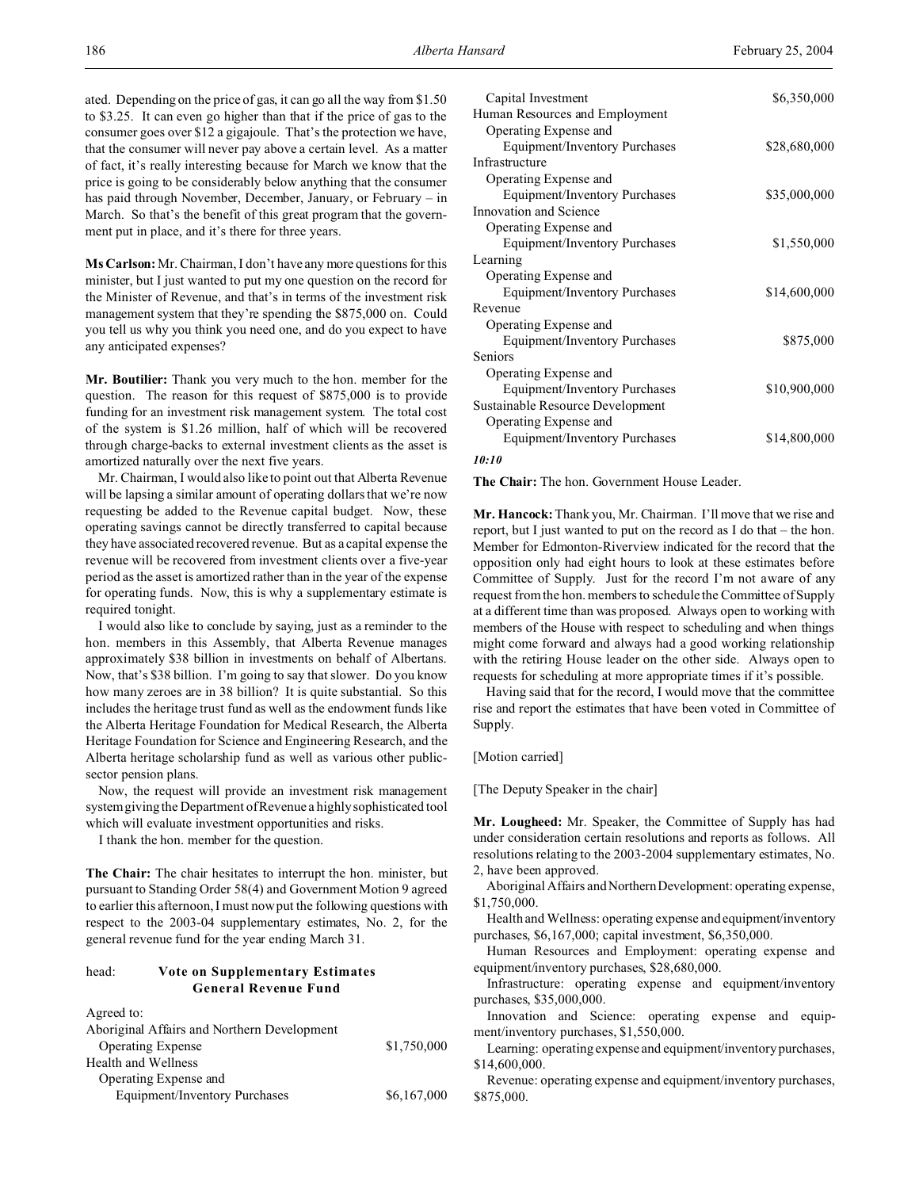**Ms Carlson:** Mr. Chairman, I don't have any more questions for this minister, but I just wanted to put my one question on the record for the Minister of Revenue, and that's in terms of the investment risk management system that they're spending the \$875,000 on. Could you tell us why you think you need one, and do you expect to have any anticipated expenses?

**Mr. Boutilier:** Thank you very much to the hon. member for the question. The reason for this request of \$875,000 is to provide funding for an investment risk management system. The total cost of the system is \$1.26 million, half of which will be recovered through charge-backs to external investment clients as the asset is amortized naturally over the next five years.

Mr. Chairman, I would also like to point out that Alberta Revenue will be lapsing a similar amount of operating dollars that we're now requesting be added to the Revenue capital budget. Now, these operating savings cannot be directly transferred to capital because they have associated recovered revenue. But as a capital expense the revenue will be recovered from investment clients over a five-year period as the asset is amortized rather than in the year of the expense for operating funds. Now, this is why a supplementary estimate is required tonight.

I would also like to conclude by saying, just as a reminder to the hon. members in this Assembly, that Alberta Revenue manages approximately \$38 billion in investments on behalf of Albertans. Now, that's \$38 billion. I'm going to say that slower. Do you know how many zeroes are in 38 billion? It is quite substantial. So this includes the heritage trust fund as well as the endowment funds like the Alberta Heritage Foundation for Medical Research, the Alberta Heritage Foundation for Science and Engineering Research, and the Alberta heritage scholarship fund as well as various other publicsector pension plans.

Now, the request will provide an investment risk management system giving the Department of Revenue a highly sophisticated tool which will evaluate investment opportunities and risks.

I thank the hon. member for the question.

**The Chair:** The chair hesitates to interrupt the hon. minister, but pursuant to Standing Order 58(4) and Government Motion 9 agreed to earlier this afternoon, I must now put the following questions with respect to the 2003-04 supplementary estimates, No. 2, for the general revenue fund for the year ending March 31.

# head: **Vote on Supplementary Estimates General Revenue Fund**

Agreed to:

| Aboriginal Affairs and Northern Development |             |
|---------------------------------------------|-------------|
| <b>Operating Expense</b>                    | \$1,750,000 |
| Health and Wellness                         |             |
| Operating Expense and                       |             |
| Equipment/Inventory Purchases               | \$6,167,000 |
|                                             |             |

| Capital Investment                   | \$6,350,000  |
|--------------------------------------|--------------|
| Human Resources and Employment       |              |
| Operating Expense and                |              |
| Equipment/Inventory Purchases        | \$28,680,000 |
| Infrastructure                       |              |
| Operating Expense and                |              |
| Equipment/Inventory Purchases        | \$35,000,000 |
| Innovation and Science               |              |
| Operating Expense and                |              |
| Equipment/Inventory Purchases        | \$1,550,000  |
| Learning                             |              |
| Operating Expense and                |              |
| Equipment/Inventory Purchases        | \$14,600,000 |
| Revenue                              |              |
| Operating Expense and                |              |
| Equipment/Inventory Purchases        | \$875,000    |
| Seniors                              |              |
| Operating Expense and                |              |
| <b>Equipment/Inventory Purchases</b> | \$10,900,000 |
| Sustainable Resource Development     |              |
| Operating Expense and                |              |
| Equipment/Inventory Purchases        | \$14,800,000 |
| 10 10                                |              |

### *10:10*

**The Chair:** The hon. Government House Leader.

**Mr. Hancock:** Thank you, Mr. Chairman. I'll move that we rise and report, but I just wanted to put on the record as I do that – the hon. Member for Edmonton-Riverview indicated for the record that the opposition only had eight hours to look at these estimates before Committee of Supply. Just for the record I'm not aware of any request from the hon. members to schedule the Committee of Supply at a different time than was proposed. Always open to working with members of the House with respect to scheduling and when things might come forward and always had a good working relationship with the retiring House leader on the other side. Always open to requests for scheduling at more appropriate times if it's possible.

Having said that for the record, I would move that the committee rise and report the estimates that have been voted in Committee of Supply.

[Motion carried]

[The Deputy Speaker in the chair]

**Mr. Lougheed:** Mr. Speaker, the Committee of Supply has had under consideration certain resolutions and reports as follows. All resolutions relating to the 2003-2004 supplementary estimates, No. 2, have been approved.

Aboriginal Affairs and NorthernDevelopment: operating expense, \$1,750,000.

Health and Wellness: operating expense and equipment/inventory purchases, \$6,167,000; capital investment, \$6,350,000.

Human Resources and Employment: operating expense and equipment/inventory purchases, \$28,680,000.

Infrastructure: operating expense and equipment/inventory purchases, \$35,000,000.

Innovation and Science: operating expense and equipment/inventory purchases, \$1,550,000.

Learning: operating expense and equipment/inventory purchases, \$14,600,000.

Revenue: operating expense and equipment/inventory purchases, \$875,000.